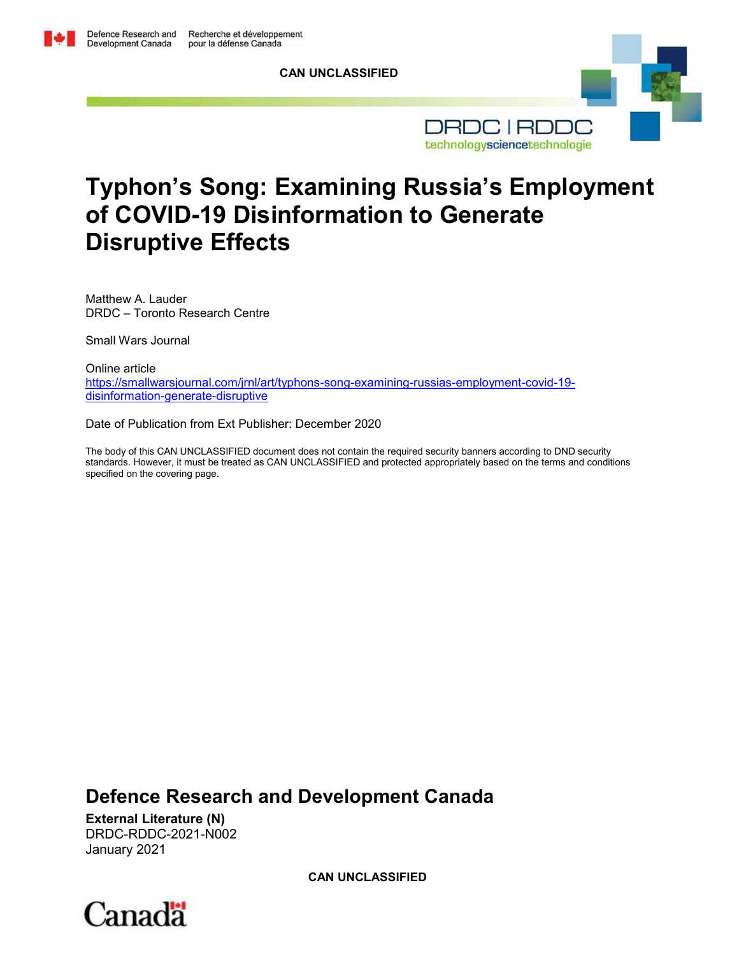**CAN UNCLASSIFIED**



# **Typhon's Song: Examining Russia's Employment of COVID-19 Disinformation to Generate Disruptive Effects**

Matthew A. Lauder DRDC – Toronto Research Centre

Small Wars Journal

Online article [https://smallwarsjournal.com/jrnl/art/typhons-song-examining-russias-employment-covid-19](https://smallwarsjournal.com/jrnl/art/typhons-song-examining-russias-employment-covid-19-disinformation-generate-disruptive) [disinformation-generate-disruptive](https://smallwarsjournal.com/jrnl/art/typhons-song-examining-russias-employment-covid-19-disinformation-generate-disruptive)

Date of Publication from Ext Publisher: December 2020

The body of this CAN UNCLASSIFIED document does not contain the required security banners according to DND security standards. However, it must be treated as CAN UNCLASSIFIED and protected appropriately based on the terms and conditions specified on the covering page.

**Defence Research and Development Canada**

**External Literature (N)** DRDC-RDDC-2021-N002 January 2021

**CAN UNCLASSIFIED**

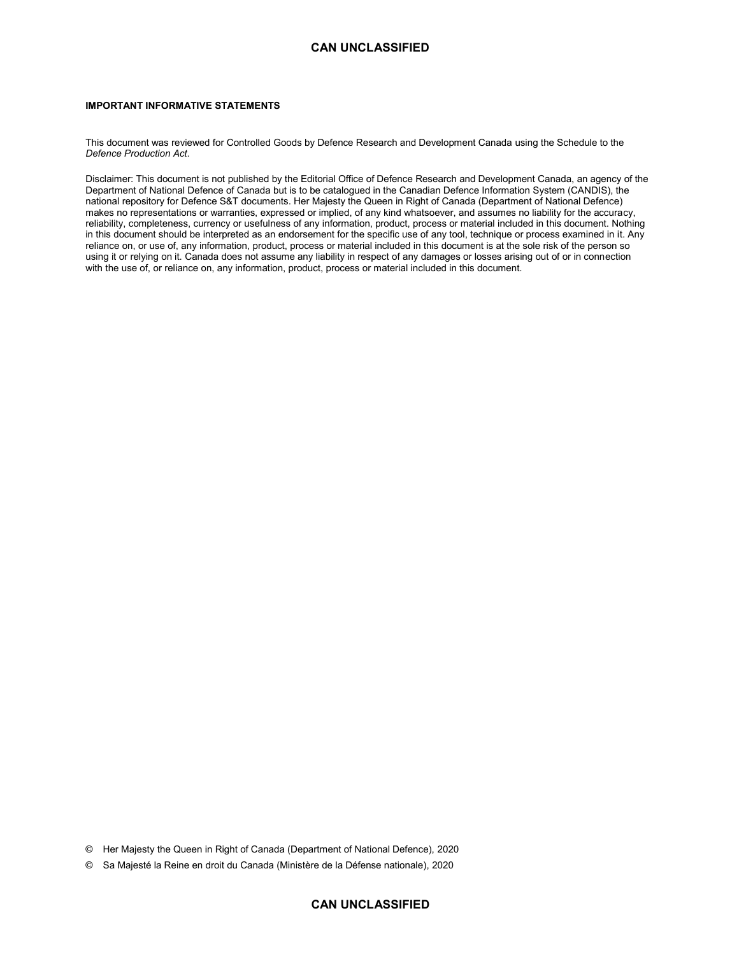#### **IMPORTANT INFORMATIVE STATEMENTS**

This document was reviewed for Controlled Goods by Defence Research and Development Canada using the Schedule to the *Defence Production Act*.

Disclaimer: This document is not published by the Editorial Office of Defence Research and Development Canada, an agency of the Department of National Defence of Canada but is to be catalogued in the Canadian Defence Information System (CANDIS), the national repository for Defence S&T documents. Her Majesty the Queen in Right of Canada (Department of National Defence) makes no representations or warranties, expressed or implied, of any kind whatsoever, and assumes no liability for the accuracy, reliability, completeness, currency or usefulness of any information, product, process or material included in this document. Nothing in this document should be interpreted as an endorsement for the specific use of any tool, technique or process examined in it. Any reliance on, or use of, any information, product, process or material included in this document is at the sole risk of the person so using it or relying on it. Canada does not assume any liability in respect of any damages or losses arising out of or in connection with the use of, or reliance on, any information, product, process or material included in this document.

© Her Majesty the Queen in Right of Canada (Department of National Defence), 2020

© Sa Majesté la Reine en droit du Canada (Ministère de la Défense nationale), 2020

#### **CAN UNCLASSIFIED**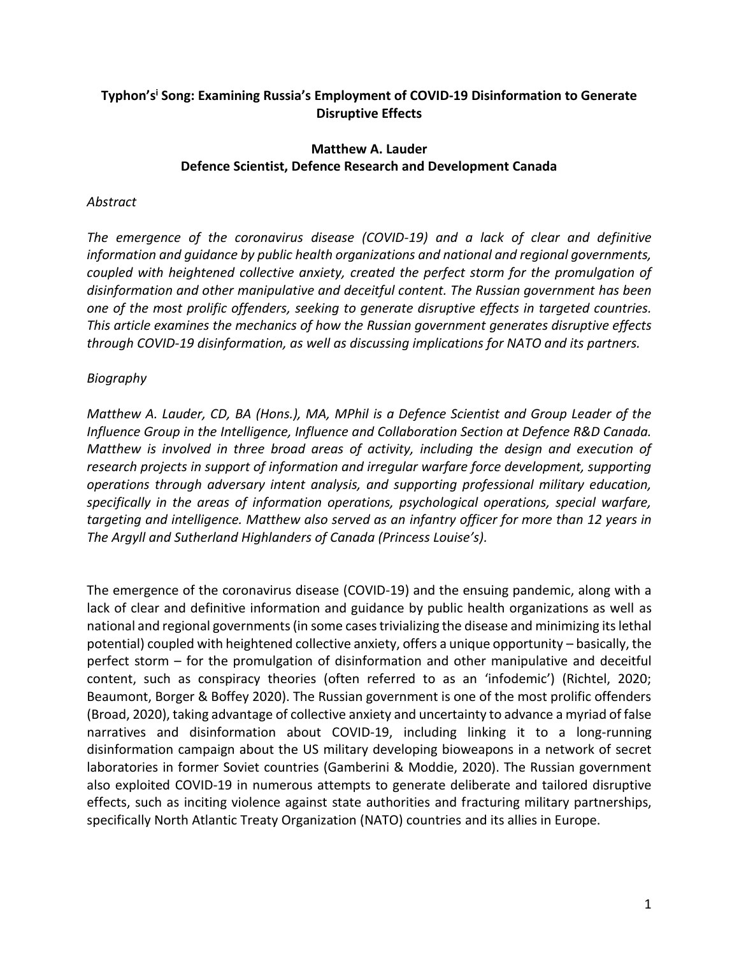# **Typhon's<sup>i</sup> Song: Examining Russia's Employment of COVID-19 Disinformation to Generate Disruptive Effects**

#### **Matthew A. Lauder Defence Scientist, Defence Research and Development Canada**

# *Abstract*

*The emergence of the coronavirus disease (COVID-19) and a lack of clear and definitive information and guidance by public health organizations and national and regional governments, coupled with heightened collective anxiety, created the perfect storm for the promulgation of disinformation and other manipulative and deceitful content. The Russian government has been one of the most prolific offenders, seeking to generate disruptive effects in targeted countries. This article examines the mechanics of how the Russian government generates disruptive effects through COVID-19 disinformation, as well as discussing implications for NATO and its partners.* 

# *Biography*

*Matthew A. Lauder, CD, BA (Hons.), MA, MPhil is a Defence Scientist and Group Leader of the Influence Group in the Intelligence, Influence and Collaboration Section at Defence R&D Canada. Matthew is involved in three broad areas of activity, including the design and execution of research projects in support of information and irregular warfare force development, supporting operations through adversary intent analysis, and supporting professional military education, specifically in the areas of information operations, psychological operations, special warfare, targeting and intelligence. Matthew also served as an infantry officer for more than 12 years in The Argyll and Sutherland Highlanders of Canada (Princess Louise's).* 

The emergence of the coronavirus disease (COVID-19) and the ensuing pandemic, along with a lack of clear and definitive information and guidance by public health organizations as well as national and regional governments (in some cases trivializing the disease and minimizing its lethal potential) coupled with heightened collective anxiety, offers a unique opportunity – basically, the perfect storm – for the promulgation of disinformation and other manipulative and deceitful content, such as conspiracy theories (often referred to as an 'infodemic') (Richtel, 2020; Beaumont, Borger & Boffey 2020). The Russian government is one of the most prolific offenders (Broad, 2020), taking advantage of collective anxiety and uncertainty to advance a myriad of false narratives and disinformation about COVID-19, including linking it to a long-running disinformation campaign about the US military developing bioweapons in a network of secret laboratories in former Soviet countries (Gamberini & Moddie, 2020). The Russian government also exploited COVID-19 in numerous attempts to generate deliberate and tailored disruptive effects, such as inciting violence against state authorities and fracturing military partnerships, specifically North Atlantic Treaty Organization (NATO) countries and its allies in Europe.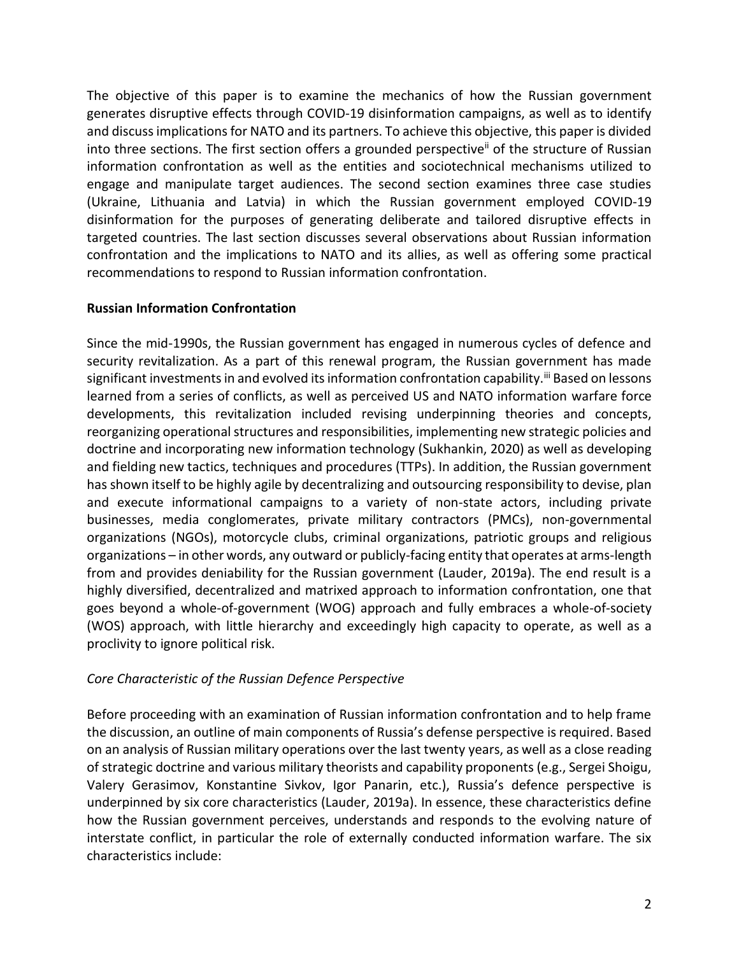The objective of this paper is to examine the mechanics of how the Russian government generates disruptive effects through COVID-19 disinformation campaigns, as well as to identify and discuss implications for NATO and its partners. To achieve this objective, this paper is divided into three sections. The first section offers a grounded perspective<sup>ii</sup> of the structure of Russian information confrontation as well as the entities and sociotechnical mechanisms utilized to engage and manipulate target audiences. The second section examines three case studies (Ukraine, Lithuania and Latvia) in which the Russian government employed COVID-19 disinformation for the purposes of generating deliberate and tailored disruptive effects in targeted countries. The last section discusses several observations about Russian information confrontation and the implications to NATO and its allies, as well as offering some practical recommendations to respond to Russian information confrontation.

#### **Russian Information Confrontation**

Since the mid-1990s, the Russian government has engaged in numerous cycles of defence and security revitalization. As a part of this renewal program, the Russian government has made significant investments in and evolved its information confrontation capability.<sup>iii</sup> Based on lessons learned from a series of conflicts, as well as perceived US and NATO information warfare force developments, this revitalization included revising underpinning theories and concepts, reorganizing operational structures and responsibilities, implementing new strategic policies and doctrine and incorporating new information technology (Sukhankin, 2020) as well as developing and fielding new tactics, techniques and procedures (TTPs). In addition, the Russian government has shown itself to be highly agile by decentralizing and outsourcing responsibility to devise, plan and execute informational campaigns to a variety of non-state actors, including private businesses, media conglomerates, private military contractors (PMCs), non-governmental organizations (NGOs), motorcycle clubs, criminal organizations, patriotic groups and religious organizations – in other words, any outward or publicly-facing entity that operates at arms-length from and provides deniability for the Russian government (Lauder, 2019a). The end result is a highly diversified, decentralized and matrixed approach to information confrontation, one that goes beyond a whole-of-government (WOG) approach and fully embraces a whole-of-society (WOS) approach, with little hierarchy and exceedingly high capacity to operate, as well as a proclivity to ignore political risk.

# *Core Characteristic of the Russian Defence Perspective*

Before proceeding with an examination of Russian information confrontation and to help frame the discussion, an outline of main components of Russia's defense perspective is required. Based on an analysis of Russian military operations over the last twenty years, as well as a close reading of strategic doctrine and various military theorists and capability proponents (e.g., Sergei Shoigu, Valery Gerasimov, Konstantine Sivkov, Igor Panarin, etc.), Russia's defence perspective is underpinned by six core characteristics (Lauder, 2019a). In essence, these characteristics define how the Russian government perceives, understands and responds to the evolving nature of interstate conflict, in particular the role of externally conducted information warfare. The six characteristics include: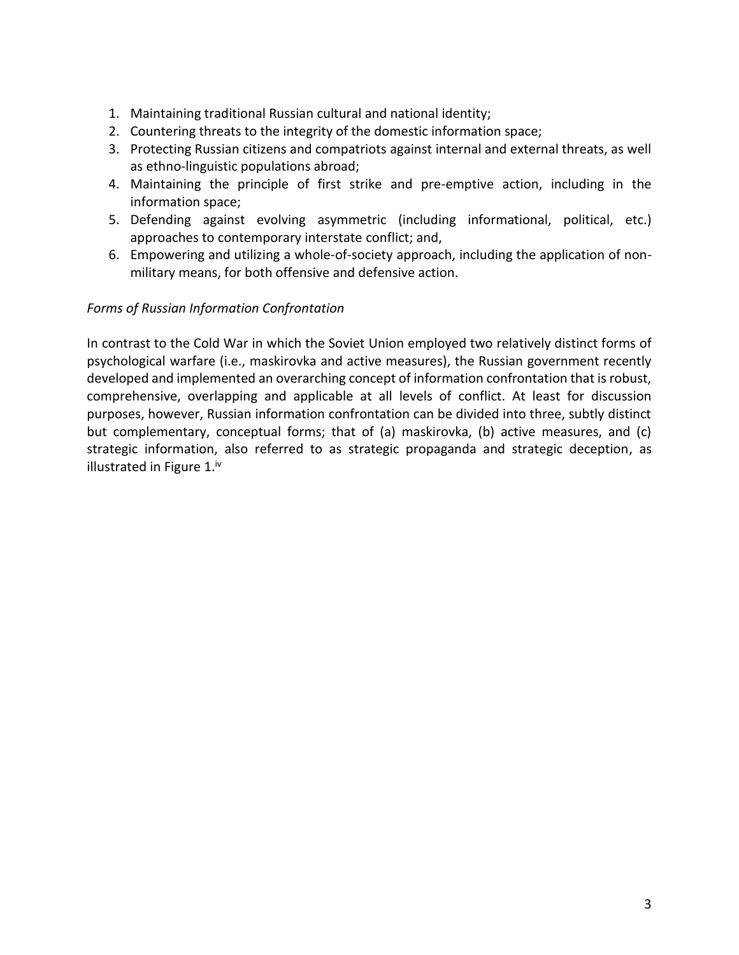- 1. Maintaining traditional Russian cultural and national identity;
- 2. Countering threats to the integrity of the domestic information space;
- 3. Protecting Russian citizens and compatriots against internal and external threats, as well as ethno-linguistic populations abroad;
- 4. Maintaining the principle of first strike and pre-emptive action, including in the information space;
- 5. Defending against evolving asymmetric (including informational, political, etc.) approaches to contemporary interstate conflict; and,
- 6. Empowering and utilizing a whole-of-society approach, including the application of nonmilitary means, for both offensive and defensive action.

# *Forms of Russian Information Confrontation*

In contrast to the Cold War in which the Soviet Union employed two relatively distinct forms of psychological warfare (i.e., maskirovka and active measures), the Russian government recently developed and implemented an overarching concept of information confrontation that is robust, comprehensive, overlapping and applicable at all levels of conflict. At least for discussion purposes, however, Russian information confrontation can be divided into three, subtly distinct but complementary, conceptual forms; that of (a) maskirovka, (b) active measures, and (c) strategic information, also referred to as strategic propaganda and strategic deception, as illustrated in Figure 1.<sup>iv</sup>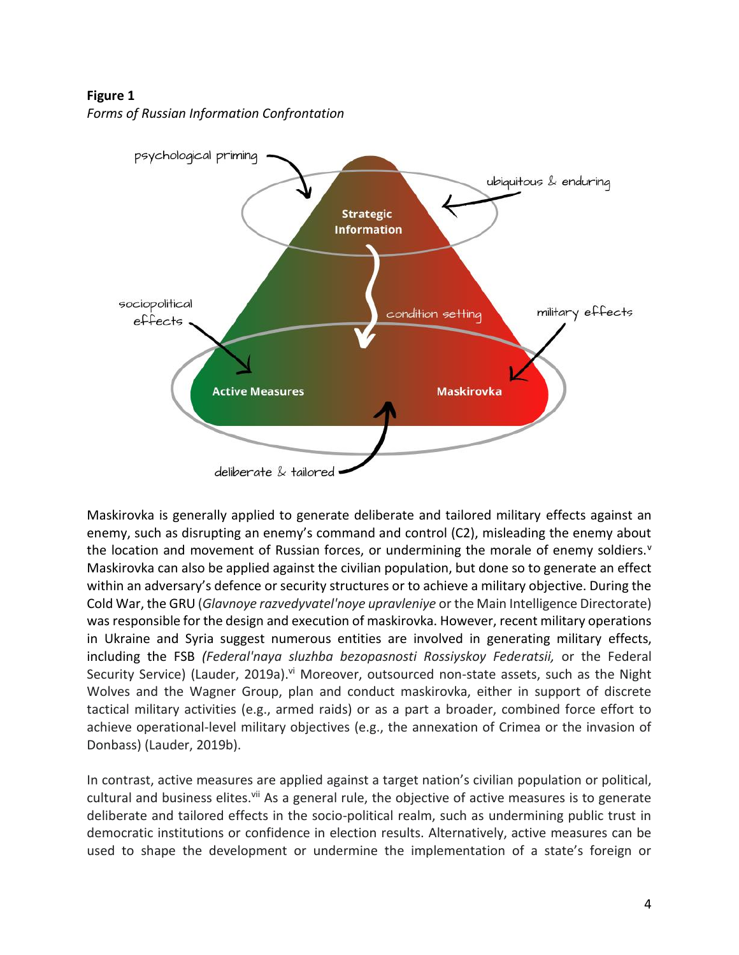**Figure 1**

*Forms of Russian Information Confrontation*



Maskirovka is generally applied to generate deliberate and tailored military effects against an enemy, such as disrupting an enemy's command and control (C2), misleading the enemy about the location and movement of Russian forces, or undermining the morale of enemy soldiers. $v$ Maskirovka can also be applied against the civilian population, but done so to generate an effect within an adversary's defence or security structures or to achieve a military objective. During the Cold War, the GRU (*Glavnoye razvedyvatel'noye upravleniye* or the Main Intelligence Directorate) was responsible for the design and execution of maskirovka. However, recent military operations in Ukraine and Syria suggest numerous entities are involved in generating military effects, including the FSB *(Federal'naya sluzhba bezopasnosti Rossiyskoy Federatsii,* or the Federal Security Service) (Lauder, 2019a).<sup>vi</sup> Moreover, outsourced non-state assets, such as the Night Wolves and the Wagner Group, plan and conduct maskirovka, either in support of discrete tactical military activities (e.g., armed raids) or as a part a broader, combined force effort to achieve operational-level military objectives (e.g., the annexation of Crimea or the invasion of Donbass) (Lauder, 2019b).

In contrast, active measures are applied against a target nation's civilian population or political, cultural and business elites.<sup>vii</sup> As a general rule, the objective of active measures is to generate deliberate and tailored effects in the socio-political realm, such as undermining public trust in democratic institutions or confidence in election results. Alternatively, active measures can be used to shape the development or undermine the implementation of a state's foreign or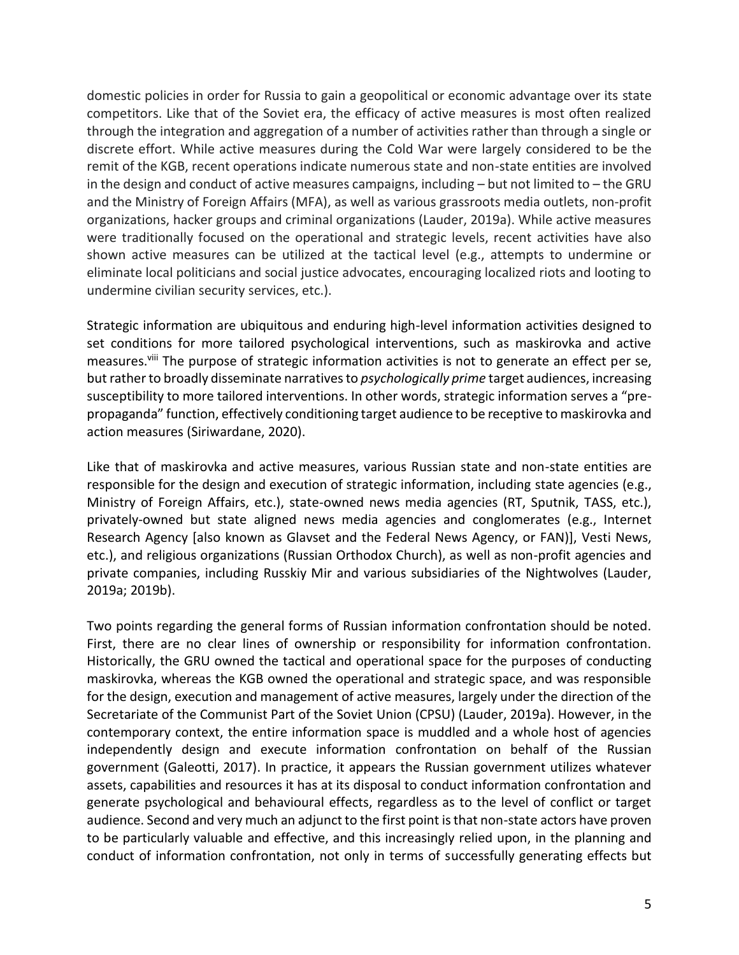domestic policies in order for Russia to gain a geopolitical or economic advantage over its state competitors. Like that of the Soviet era, the efficacy of active measures is most often realized through the integration and aggregation of a number of activities rather than through a single or discrete effort. While active measures during the Cold War were largely considered to be the remit of the KGB, recent operations indicate numerous state and non-state entities are involved in the design and conduct of active measures campaigns, including – but not limited to – the GRU and the Ministry of Foreign Affairs (MFA), as well as various grassroots media outlets, non-profit organizations, hacker groups and criminal organizations (Lauder, 2019a). While active measures were traditionally focused on the operational and strategic levels, recent activities have also shown active measures can be utilized at the tactical level (e.g., attempts to undermine or eliminate local politicians and social justice advocates, encouraging localized riots and looting to undermine civilian security services, etc.).

Strategic information are ubiquitous and enduring high-level information activities designed to set conditions for more tailored psychological interventions, such as maskirovka and active measures.<sup>viii</sup> The purpose of strategic information activities is not to generate an effect per se, but rather to broadly disseminate narratives to *psychologically prime* target audiences, increasing susceptibility to more tailored interventions. In other words, strategic information serves a "prepropaganda" function, effectively conditioning target audience to be receptive to maskirovka and action measures (Siriwardane, 2020).

Like that of maskirovka and active measures, various Russian state and non-state entities are responsible for the design and execution of strategic information, including state agencies (e.g., Ministry of Foreign Affairs, etc.), state-owned news media agencies (RT, Sputnik, TASS, etc.), privately-owned but state aligned news media agencies and conglomerates (e.g., Internet Research Agency [also known as Glavset and the Federal News Agency, or FAN)], Vesti News, etc.), and religious organizations (Russian Orthodox Church), as well as non-profit agencies and private companies, including Russkiy Mir and various subsidiaries of the Nightwolves (Lauder, 2019a; 2019b).

Two points regarding the general forms of Russian information confrontation should be noted. First, there are no clear lines of ownership or responsibility for information confrontation. Historically, the GRU owned the tactical and operational space for the purposes of conducting maskirovka, whereas the KGB owned the operational and strategic space, and was responsible for the design, execution and management of active measures, largely under the direction of the Secretariate of the Communist Part of the Soviet Union (CPSU) (Lauder, 2019a). However, in the contemporary context, the entire information space is muddled and a whole host of agencies independently design and execute information confrontation on behalf of the Russian government (Galeotti, 2017). In practice, it appears the Russian government utilizes whatever assets, capabilities and resources it has at its disposal to conduct information confrontation and generate psychological and behavioural effects, regardless as to the level of conflict or target audience. Second and very much an adjunct to the first point is that non-state actors have proven to be particularly valuable and effective, and this increasingly relied upon, in the planning and conduct of information confrontation, not only in terms of successfully generating effects but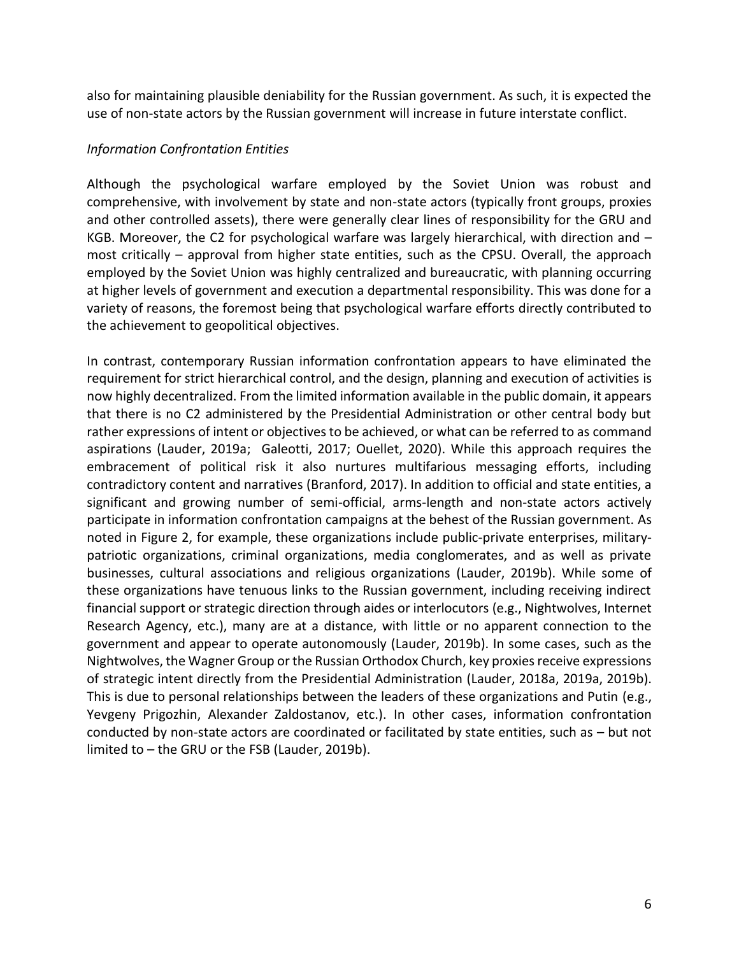also for maintaining plausible deniability for the Russian government. As such, it is expected the use of non-state actors by the Russian government will increase in future interstate conflict.

#### *Information Confrontation Entities*

Although the psychological warfare employed by the Soviet Union was robust and comprehensive, with involvement by state and non-state actors (typically front groups, proxies and other controlled assets), there were generally clear lines of responsibility for the GRU and KGB. Moreover, the C2 for psychological warfare was largely hierarchical, with direction and  $$ most critically – approval from higher state entities, such as the CPSU. Overall, the approach employed by the Soviet Union was highly centralized and bureaucratic, with planning occurring at higher levels of government and execution a departmental responsibility. This was done for a variety of reasons, the foremost being that psychological warfare efforts directly contributed to the achievement to geopolitical objectives.

In contrast, contemporary Russian information confrontation appears to have eliminated the requirement for strict hierarchical control, and the design, planning and execution of activities is now highly decentralized. From the limited information available in the public domain, it appears that there is no C2 administered by the Presidential Administration or other central body but rather expressions of intent or objectives to be achieved, or what can be referred to as command aspirations (Lauder, 2019a; Galeotti, 2017; Ouellet, 2020). While this approach requires the embracement of political risk it also nurtures multifarious messaging efforts, including contradictory content and narratives (Branford, 2017). In addition to official and state entities, a significant and growing number of semi-official, arms-length and non-state actors actively participate in information confrontation campaigns at the behest of the Russian government. As noted in Figure 2, for example, these organizations include public-private enterprises, militarypatriotic organizations, criminal organizations, media conglomerates, and as well as private businesses, cultural associations and religious organizations (Lauder, 2019b). While some of these organizations have tenuous links to the Russian government, including receiving indirect financial support or strategic direction through aides or interlocutors (e.g., Nightwolves, Internet Research Agency, etc.), many are at a distance, with little or no apparent connection to the government and appear to operate autonomously (Lauder, 2019b). In some cases, such as the Nightwolves, the Wagner Group or the Russian Orthodox Church, key proxies receive expressions of strategic intent directly from the Presidential Administration (Lauder, 2018a, 2019a, 2019b). This is due to personal relationships between the leaders of these organizations and Putin (e.g., Yevgeny Prigozhin, Alexander Zaldostanov, etc.). In other cases, information confrontation conducted by non-state actors are coordinated or facilitated by state entities, such as – but not limited to – the GRU or the FSB (Lauder, 2019b).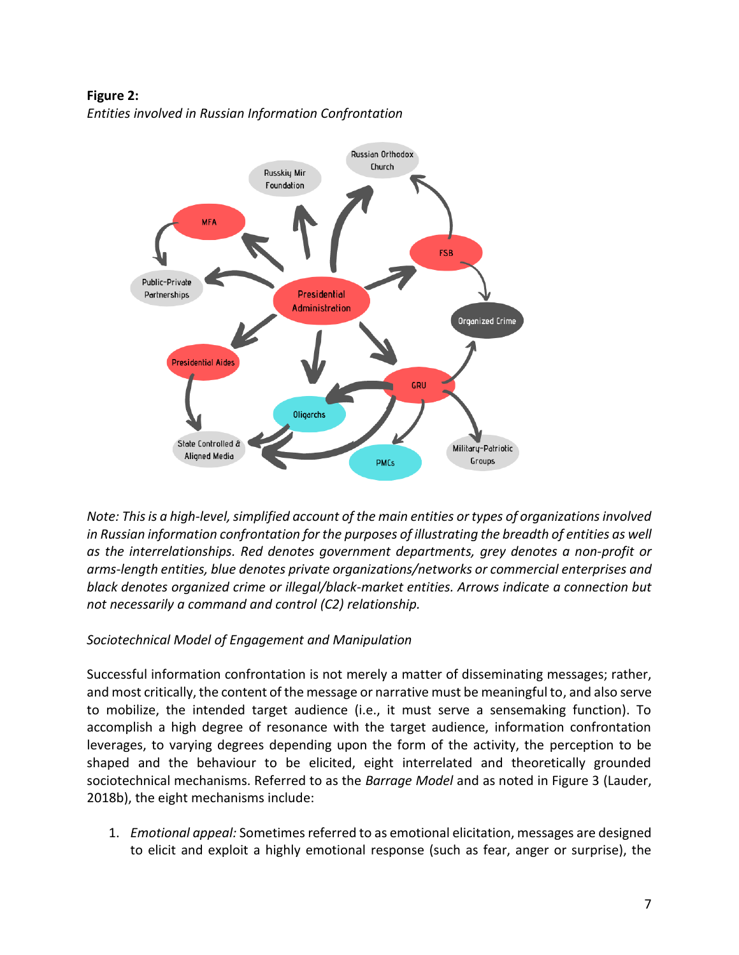**Figure 2:**  *Entities involved in Russian Information Confrontation*



*Note: This is a high-level, simplified account of the main entities or types of organizations involved in Russian information confrontation for the purposes of illustrating the breadth of entities as well as the interrelationships. Red denotes government departments, grey denotes a non-profit or arms-length entities, blue denotes private organizations/networks or commercial enterprises and black denotes organized crime or illegal/black-market entities. Arrows indicate a connection but not necessarily a command and control (C2) relationship.* 

# *Sociotechnical Model of Engagement and Manipulation*

Successful information confrontation is not merely a matter of disseminating messages; rather, and most critically, the content of the message or narrative must be meaningful to, and also serve to mobilize, the intended target audience (i.e., it must serve a sensemaking function). To accomplish a high degree of resonance with the target audience, information confrontation leverages, to varying degrees depending upon the form of the activity, the perception to be shaped and the behaviour to be elicited, eight interrelated and theoretically grounded sociotechnical mechanisms. Referred to as the *Barrage Model* and as noted in Figure 3 (Lauder, 2018b), the eight mechanisms include:

1. *Emotional appeal:* Sometimes referred to as emotional elicitation, messages are designed to elicit and exploit a highly emotional response (such as fear, anger or surprise), the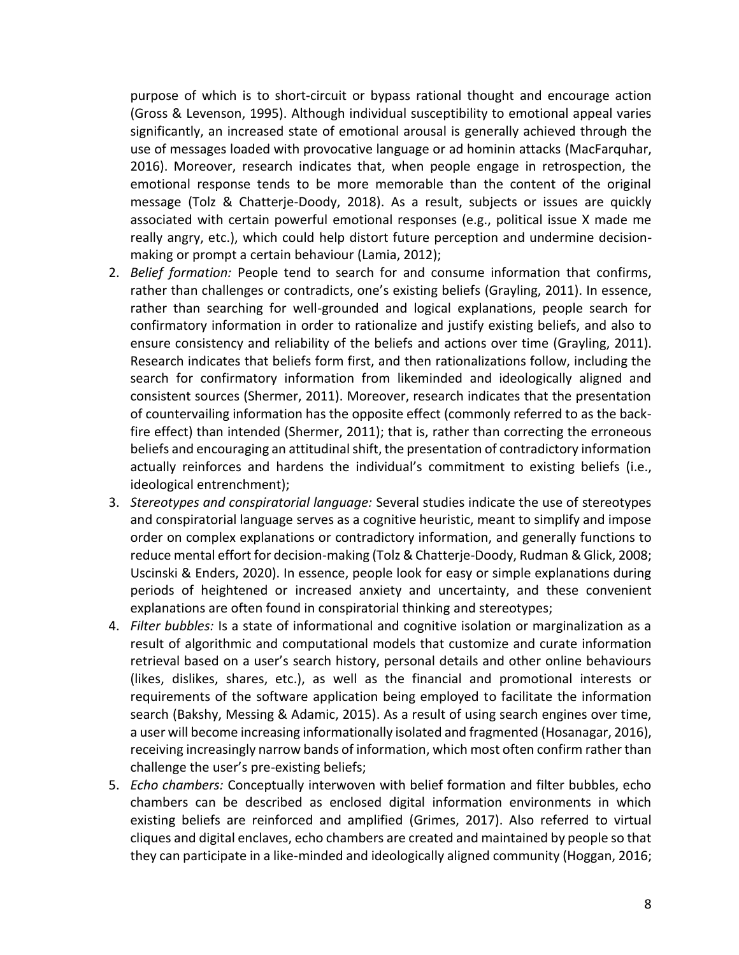purpose of which is to short-circuit or bypass rational thought and encourage action (Gross & Levenson, 1995). Although individual susceptibility to emotional appeal varies significantly, an increased state of emotional arousal is generally achieved through the use of messages loaded with provocative language or ad hominin attacks (MacFarquhar, 2016). Moreover, research indicates that, when people engage in retrospection, the emotional response tends to be more memorable than the content of the original message (Tolz & Chatterje-Doody, 2018). As a result, subjects or issues are quickly associated with certain powerful emotional responses (e.g., political issue X made me really angry, etc.), which could help distort future perception and undermine decisionmaking or prompt a certain behaviour (Lamia, 2012);

- 2. *Belief formation:* People tend to search for and consume information that confirms, rather than challenges or contradicts, one's existing beliefs (Grayling, 2011). In essence, rather than searching for well-grounded and logical explanations, people search for confirmatory information in order to rationalize and justify existing beliefs, and also to ensure consistency and reliability of the beliefs and actions over time (Grayling, 2011). Research indicates that beliefs form first, and then rationalizations follow, including the search for confirmatory information from likeminded and ideologically aligned and consistent sources (Shermer, 2011). Moreover, research indicates that the presentation of countervailing information has the opposite effect (commonly referred to as the backfire effect) than intended (Shermer, 2011); that is, rather than correcting the erroneous beliefs and encouraging an attitudinal shift, the presentation of contradictory information actually reinforces and hardens the individual's commitment to existing beliefs (i.e., ideological entrenchment);
- 3. *Stereotypes and conspiratorial language:* Several studies indicate the use of stereotypes and conspiratorial language serves as a cognitive heuristic, meant to simplify and impose order on complex explanations or contradictory information, and generally functions to reduce mental effort for decision-making (Tolz & Chatterje-Doody, Rudman & Glick, 2008; Uscinski & Enders, 2020). In essence, people look for easy or simple explanations during periods of heightened or increased anxiety and uncertainty, and these convenient explanations are often found in conspiratorial thinking and stereotypes;
- 4. *Filter bubbles:* Is a state of informational and cognitive isolation or marginalization as a result of algorithmic and computational models that customize and curate information retrieval based on a user's search history, personal details and other online behaviours (likes, dislikes, shares, etc.), as well as the financial and promotional interests or requirements of the software application being employed to facilitate the information search (Bakshy, Messing & Adamic, 2015). As a result of using search engines over time, a user will become increasing informationally isolated and fragmented (Hosanagar, 2016), receiving increasingly narrow bands of information, which most often confirm rather than challenge the user's pre-existing beliefs;
- 5. *Echo chambers:* Conceptually interwoven with belief formation and filter bubbles, echo chambers can be described as enclosed digital information environments in which existing beliefs are reinforced and amplified (Grimes, 2017). Also referred to virtual cliques and digital enclaves, echo chambers are created and maintained by people so that they can participate in a like-minded and ideologically aligned community (Hoggan, 2016;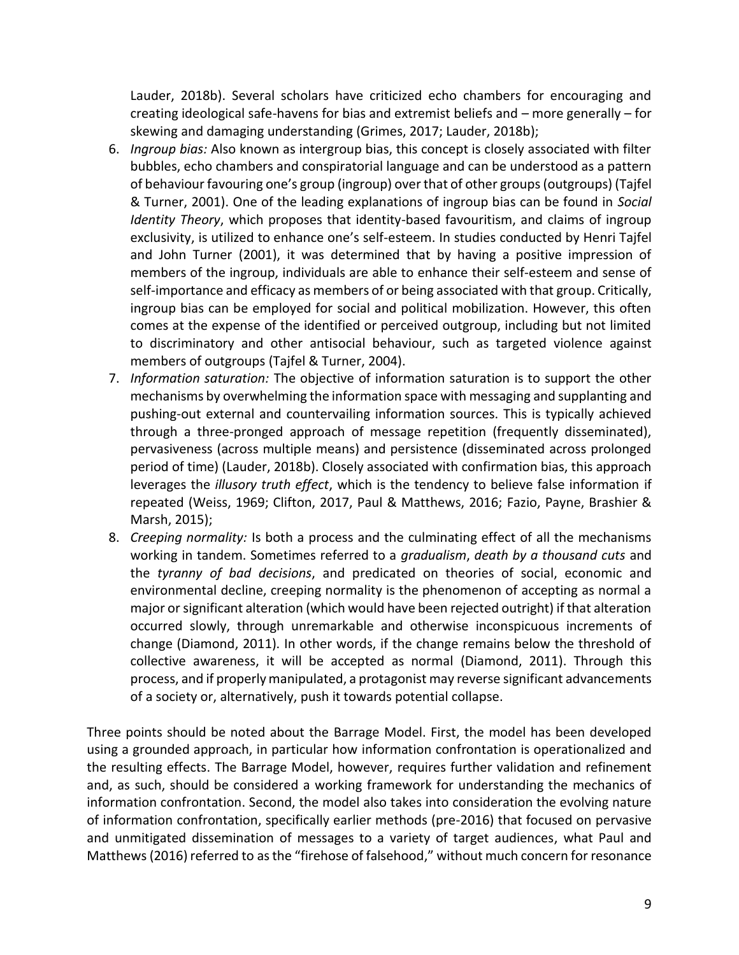Lauder, 2018b). Several scholars have criticized echo chambers for encouraging and creating ideological safe-havens for bias and extremist beliefs and – more generally – for skewing and damaging understanding (Grimes, 2017; Lauder, 2018b);

- 6. *Ingroup bias:* Also known as intergroup bias, this concept is closely associated with filter bubbles, echo chambers and conspiratorial language and can be understood as a pattern of behaviour favouring one's group (ingroup) over that of other groups(outgroups) (Tajfel & Turner, 2001). One of the leading explanations of ingroup bias can be found in *Social Identity Theory*, which proposes that identity-based favouritism, and claims of ingroup exclusivity, is utilized to enhance one's self-esteem. In studies conducted by Henri Tajfel and John Turner (2001), it was determined that by having a positive impression of members of the ingroup, individuals are able to enhance their self-esteem and sense of self-importance and efficacy as members of or being associated with that group. Critically, ingroup bias can be employed for social and political mobilization. However, this often comes at the expense of the identified or perceived outgroup, including but not limited to discriminatory and other antisocial behaviour, such as targeted violence against members of outgroups (Tajfel & Turner, 2004).
- 7. *Information saturation:* The objective of information saturation is to support the other mechanisms by overwhelming the information space with messaging and supplanting and pushing-out external and countervailing information sources. This is typically achieved through a three-pronged approach of message repetition (frequently disseminated), pervasiveness (across multiple means) and persistence (disseminated across prolonged period of time) (Lauder, 2018b). Closely associated with confirmation bias, this approach leverages the *illusory truth effect*, which is the tendency to believe false information if repeated (Weiss, 1969; Clifton, 2017, Paul & Matthews, 2016; Fazio, Payne, Brashier & Marsh, 2015);
- 8. *Creeping normality:* Is both a process and the culminating effect of all the mechanisms working in tandem. Sometimes referred to a *gradualism*, *death by a thousand cuts* and the *tyranny of bad decisions*, and predicated on theories of social, economic and environmental decline, creeping normality is the phenomenon of accepting as normal a major or significant alteration (which would have been rejected outright) if that alteration occurred slowly, through unremarkable and otherwise inconspicuous increments of change (Diamond, 2011). In other words, if the change remains below the threshold of collective awareness, it will be accepted as normal (Diamond, 2011). Through this process, and if properly manipulated, a protagonist may reverse significant advancements of a society or, alternatively, push it towards potential collapse.

Three points should be noted about the Barrage Model. First, the model has been developed using a grounded approach, in particular how information confrontation is operationalized and the resulting effects. The Barrage Model, however, requires further validation and refinement and, as such, should be considered a working framework for understanding the mechanics of information confrontation. Second, the model also takes into consideration the evolving nature of information confrontation, specifically earlier methods (pre-2016) that focused on pervasive and unmitigated dissemination of messages to a variety of target audiences, what Paul and Matthews (2016) referred to as the "firehose of falsehood," without much concern for resonance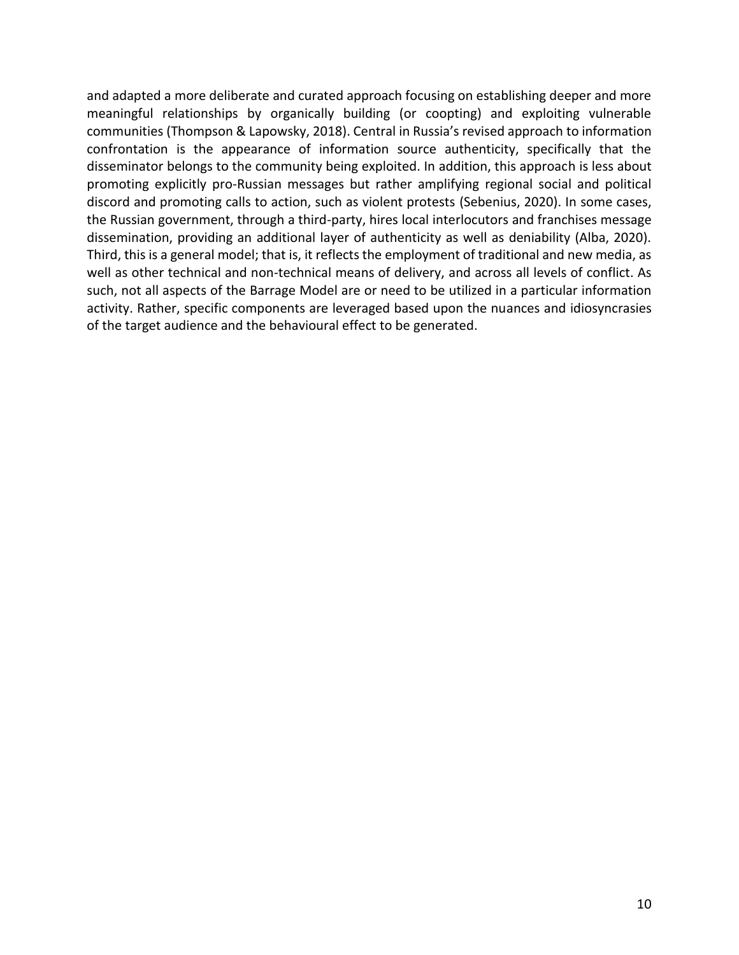and adapted a more deliberate and curated approach focusing on establishing deeper and more meaningful relationships by organically building (or coopting) and exploiting vulnerable communities (Thompson & Lapowsky, 2018). Central in Russia's revised approach to information confrontation is the appearance of information source authenticity, specifically that the disseminator belongs to the community being exploited. In addition, this approach is less about promoting explicitly pro-Russian messages but rather amplifying regional social and political discord and promoting calls to action, such as violent protests (Sebenius, 2020). In some cases, the Russian government, through a third-party, hires local interlocutors and franchises message dissemination, providing an additional layer of authenticity as well as deniability (Alba, 2020). Third, this is a general model; that is, it reflects the employment of traditional and new media, as well as other technical and non-technical means of delivery, and across all levels of conflict. As such, not all aspects of the Barrage Model are or need to be utilized in a particular information activity. Rather, specific components are leveraged based upon the nuances and idiosyncrasies of the target audience and the behavioural effect to be generated.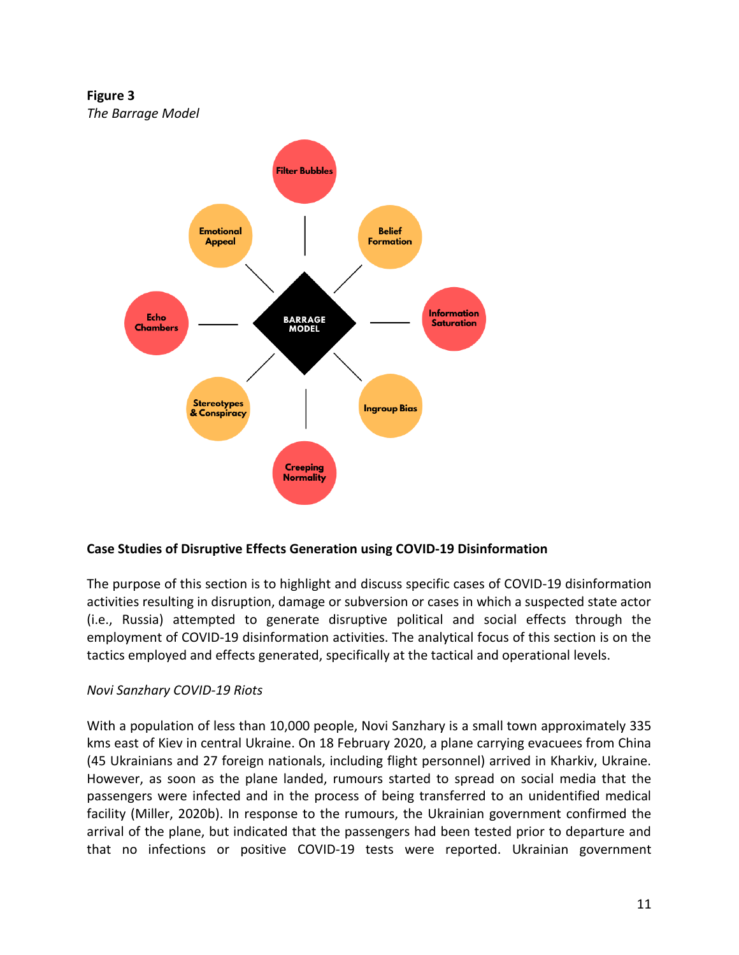**Figure 3** *The Barrage Model*



# **Case Studies of Disruptive Effects Generation using COVID-19 Disinformation**

The purpose of this section is to highlight and discuss specific cases of COVID-19 disinformation activities resulting in disruption, damage or subversion or cases in which a suspected state actor (i.e., Russia) attempted to generate disruptive political and social effects through the employment of COVID-19 disinformation activities. The analytical focus of this section is on the tactics employed and effects generated, specifically at the tactical and operational levels.

#### *Novi Sanzhary COVID-19 Riots*

With a population of less than 10,000 people, Novi Sanzhary is a small town approximately 335 kms east of Kiev in central Ukraine. On 18 February 2020, a plane carrying evacuees from China (45 Ukrainians and 27 foreign nationals, including flight personnel) arrived in Kharkiv, Ukraine. However, as soon as the plane landed, rumours started to spread on social media that the passengers were infected and in the process of being transferred to an unidentified medical facility (Miller, 2020b). In response to the rumours, the Ukrainian government confirmed the arrival of the plane, but indicated that the passengers had been tested prior to departure and that no infections or positive COVID-19 tests were reported. Ukrainian government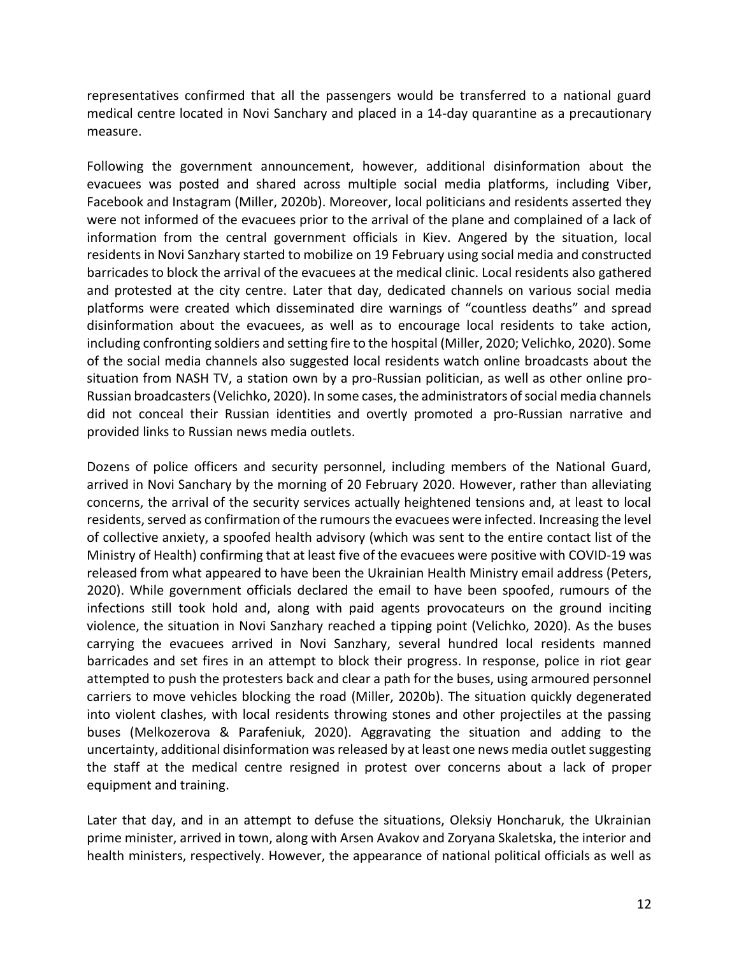representatives confirmed that all the passengers would be transferred to a national guard medical centre located in Novi Sanchary and placed in a 14-day quarantine as a precautionary measure.

Following the government announcement, however, additional disinformation about the evacuees was posted and shared across multiple social media platforms, including Viber, Facebook and Instagram (Miller, 2020b). Moreover, local politicians and residents asserted they were not informed of the evacuees prior to the arrival of the plane and complained of a lack of information from the central government officials in Kiev. Angered by the situation, local residents in Novi Sanzhary started to mobilize on 19 February using social media and constructed barricades to block the arrival of the evacuees at the medical clinic. Local residents also gathered and protested at the city centre. Later that day, dedicated channels on various social media platforms were created which disseminated dire warnings of "countless deaths" and spread disinformation about the evacuees, as well as to encourage local residents to take action, including confronting soldiers and setting fire to the hospital (Miller, 2020; Velichko, 2020). Some of the social media channels also suggested local residents watch online broadcasts about the situation from NASH TV, a station own by a pro-Russian politician, as well as other online pro-Russian broadcasters (Velichko, 2020). In some cases, the administrators of social media channels did not conceal their Russian identities and overtly promoted a pro-Russian narrative and provided links to Russian news media outlets.

Dozens of police officers and security personnel, including members of the National Guard, arrived in Novi Sanchary by the morning of 20 February 2020. However, rather than alleviating concerns, the arrival of the security services actually heightened tensions and, at least to local residents, served as confirmation of the rumours the evacuees were infected. Increasing the level of collective anxiety, a spoofed health advisory (which was sent to the entire contact list of the Ministry of Health) confirming that at least five of the evacuees were positive with COVID-19 was released from what appeared to have been the Ukrainian Health Ministry email address (Peters, 2020). While government officials declared the email to have been spoofed, rumours of the infections still took hold and, along with paid agents provocateurs on the ground inciting violence, the situation in Novi Sanzhary reached a tipping point (Velichko, 2020). As the buses carrying the evacuees arrived in Novi Sanzhary, several hundred local residents manned barricades and set fires in an attempt to block their progress. In response, police in riot gear attempted to push the protesters back and clear a path for the buses, using armoured personnel carriers to move vehicles blocking the road (Miller, 2020b). The situation quickly degenerated into violent clashes, with local residents throwing stones and other projectiles at the passing buses (Melkozerova & Parafeniuk, 2020). Aggravating the situation and adding to the uncertainty, additional disinformation was released by at least one news media outlet suggesting the staff at the medical centre resigned in protest over concerns about a lack of proper equipment and training.

Later that day, and in an attempt to defuse the situations, Oleksiy Honcharuk, the Ukrainian prime minister, arrived in town, along with Arsen Avakov and Zoryana Skaletska, the interior and health ministers, respectively. However, the appearance of national political officials as well as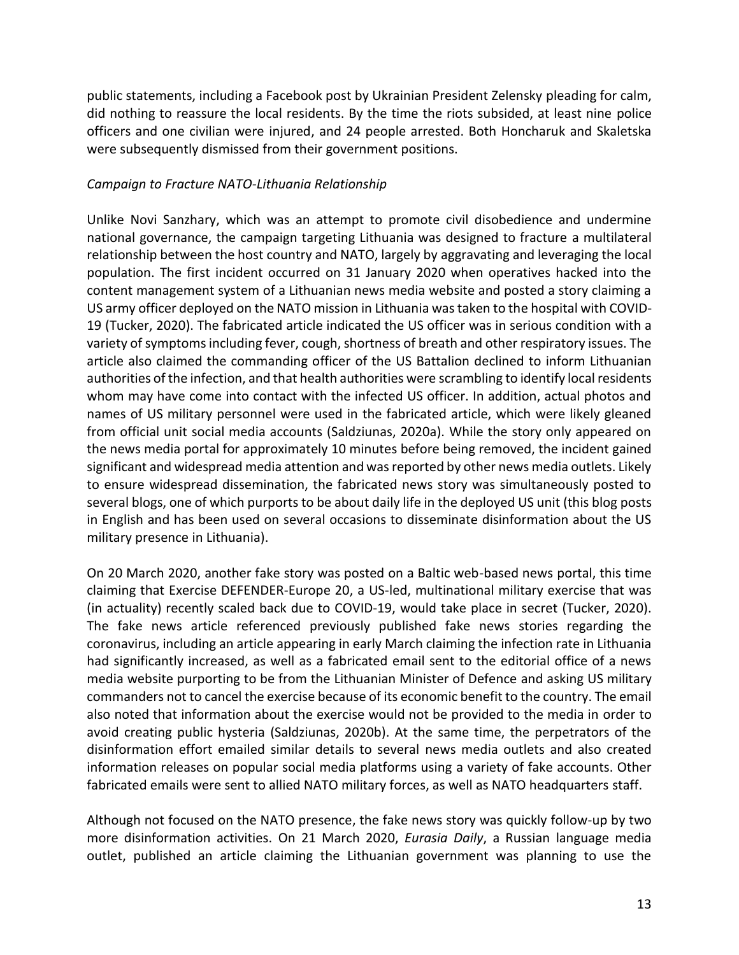public statements, including a Facebook post by Ukrainian President Zelensky pleading for calm, did nothing to reassure the local residents. By the time the riots subsided, at least nine police officers and one civilian were injured, and 24 people arrested. Both Honcharuk and Skaletska were subsequently dismissed from their government positions.

#### *Campaign to Fracture NATO-Lithuania Relationship*

Unlike Novi Sanzhary, which was an attempt to promote civil disobedience and undermine national governance, the campaign targeting Lithuania was designed to fracture a multilateral relationship between the host country and NATO, largely by aggravating and leveraging the local population. The first incident occurred on 31 January 2020 when operatives hacked into the content management system of a Lithuanian news media website and posted a story claiming a US army officer deployed on the NATO mission in Lithuania was taken to the hospital with COVID-19 (Tucker, 2020). The fabricated article indicated the US officer was in serious condition with a variety of symptoms including fever, cough, shortness of breath and other respiratory issues. The article also claimed the commanding officer of the US Battalion declined to inform Lithuanian authorities of the infection, and that health authorities were scrambling to identify local residents whom may have come into contact with the infected US officer. In addition, actual photos and names of US military personnel were used in the fabricated article, which were likely gleaned from official unit social media accounts (Saldziunas, 2020a). While the story only appeared on the news media portal for approximately 10 minutes before being removed, the incident gained significant and widespread media attention and was reported by other news media outlets. Likely to ensure widespread dissemination, the fabricated news story was simultaneously posted to several blogs, one of which purports to be about daily life in the deployed US unit (this blog posts in English and has been used on several occasions to disseminate disinformation about the US military presence in Lithuania).

On 20 March 2020, another fake story was posted on a Baltic web-based news portal, this time claiming that Exercise DEFENDER-Europe 20, a US-led, multinational military exercise that was (in actuality) recently scaled back due to COVID-19, would take place in secret (Tucker, 2020). The fake news article referenced previously published fake news stories regarding the coronavirus, including an article appearing in early March claiming the infection rate in Lithuania had significantly increased, as well as a fabricated email sent to the editorial office of a news media website purporting to be from the Lithuanian Minister of Defence and asking US military commanders not to cancel the exercise because of its economic benefit to the country. The email also noted that information about the exercise would not be provided to the media in order to avoid creating public hysteria (Saldziunas, 2020b). At the same time, the perpetrators of the disinformation effort emailed similar details to several news media outlets and also created information releases on popular social media platforms using a variety of fake accounts. Other fabricated emails were sent to allied NATO military forces, as well as NATO headquarters staff.

Although not focused on the NATO presence, the fake news story was quickly follow-up by two more disinformation activities. On 21 March 2020, *Eurasia Daily*, a Russian language media outlet, published an article claiming the Lithuanian government was planning to use the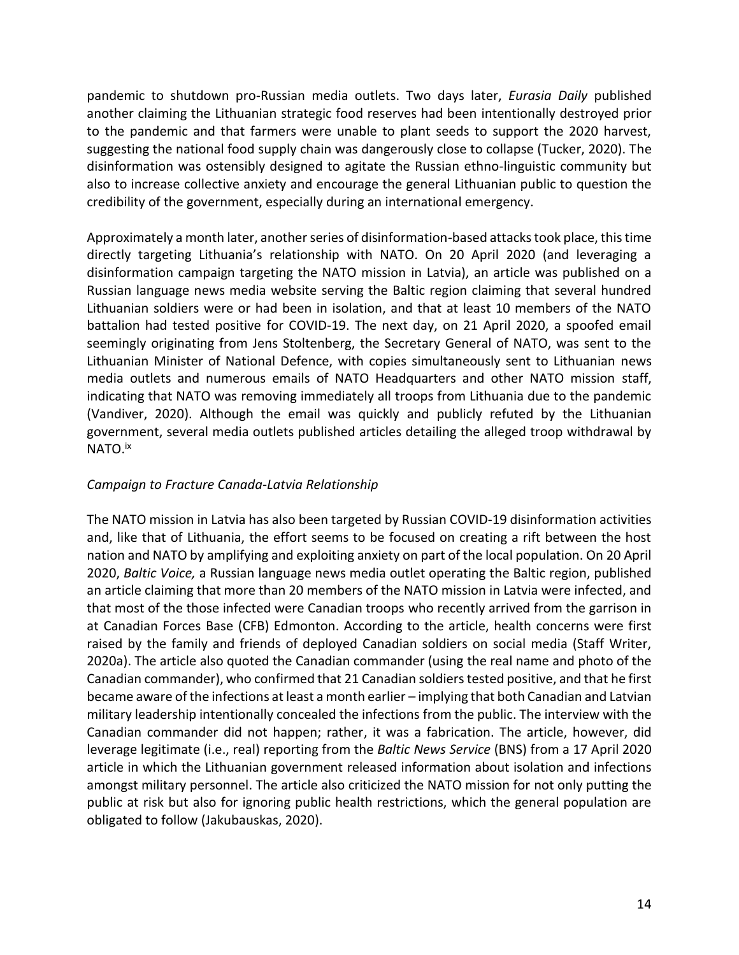pandemic to shutdown pro-Russian media outlets. Two days later, *Eurasia Daily* published another claiming the Lithuanian strategic food reserves had been intentionally destroyed prior to the pandemic and that farmers were unable to plant seeds to support the 2020 harvest, suggesting the national food supply chain was dangerously close to collapse (Tucker, 2020). The disinformation was ostensibly designed to agitate the Russian ethno-linguistic community but also to increase collective anxiety and encourage the general Lithuanian public to question the credibility of the government, especially during an international emergency.

Approximately a month later, another series of disinformation-based attacks took place, this time directly targeting Lithuania's relationship with NATO. On 20 April 2020 (and leveraging a disinformation campaign targeting the NATO mission in Latvia), an article was published on a Russian language news media website serving the Baltic region claiming that several hundred Lithuanian soldiers were or had been in isolation, and that at least 10 members of the NATO battalion had tested positive for COVID-19. The next day, on 21 April 2020, a spoofed email seemingly originating from Jens Stoltenberg, the Secretary General of NATO, was sent to the Lithuanian Minister of National Defence, with copies simultaneously sent to Lithuanian news media outlets and numerous emails of NATO Headquarters and other NATO mission staff, indicating that NATO was removing immediately all troops from Lithuania due to the pandemic (Vandiver, 2020). Although the email was quickly and publicly refuted by the Lithuanian government, several media outlets published articles detailing the alleged troop withdrawal by NATO.<sup>ix</sup>

# *Campaign to Fracture Canada-Latvia Relationship*

The NATO mission in Latvia has also been targeted by Russian COVID-19 disinformation activities and, like that of Lithuania, the effort seems to be focused on creating a rift between the host nation and NATO by amplifying and exploiting anxiety on part of the local population. On 20 April 2020, *Baltic Voice,* a Russian language news media outlet operating the Baltic region, published an article claiming that more than 20 members of the NATO mission in Latvia were infected, and that most of the those infected were Canadian troops who recently arrived from the garrison in at Canadian Forces Base (CFB) Edmonton. According to the article, health concerns were first raised by the family and friends of deployed Canadian soldiers on social media (Staff Writer, 2020a). The article also quoted the Canadian commander (using the real name and photo of the Canadian commander), who confirmed that 21 Canadian soldiers tested positive, and that he first became aware of the infections at least a month earlier – implying that both Canadian and Latvian military leadership intentionally concealed the infections from the public. The interview with the Canadian commander did not happen; rather, it was a fabrication. The article, however, did leverage legitimate (i.e., real) reporting from the *Baltic News Service* (BNS) from a 17 April 2020 article in which the Lithuanian government released information about isolation and infections amongst military personnel. The article also criticized the NATO mission for not only putting the public at risk but also for ignoring public health restrictions, which the general population are obligated to follow (Jakubauskas, 2020).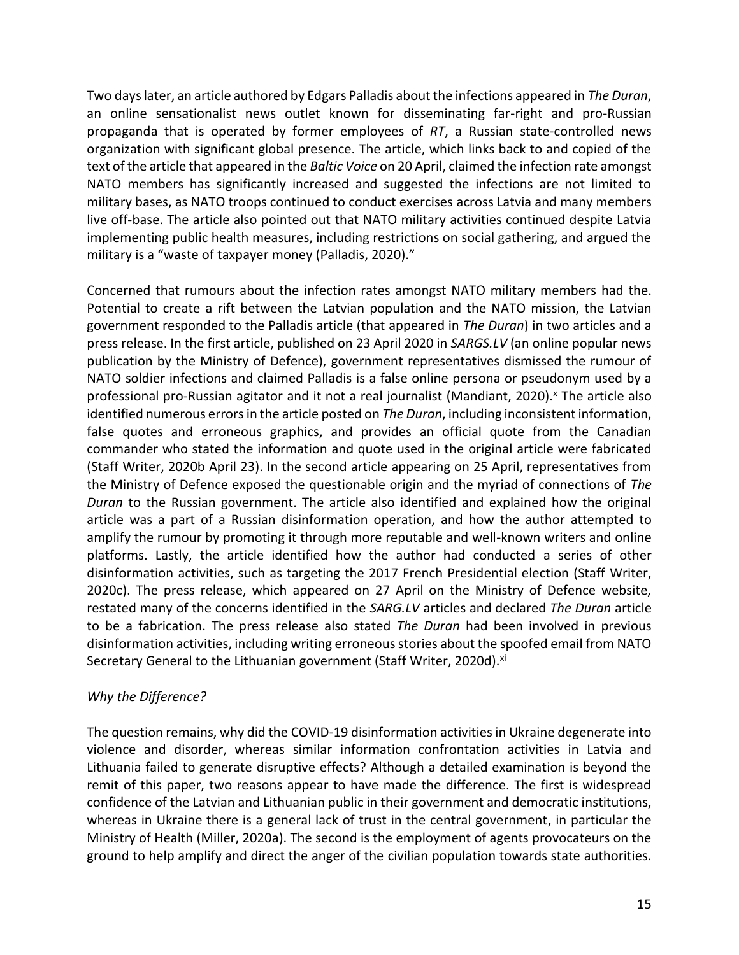Two days later, an article authored by Edgars Palladis about the infections appeared in *The Duran*, an online sensationalist news outlet known for disseminating far-right and pro-Russian propaganda that is operated by former employees of *RT*, a Russian state-controlled news organization with significant global presence. The article, which links back to and copied of the text of the article that appeared in the *Baltic Voice* on 20 April, claimed the infection rate amongst NATO members has significantly increased and suggested the infections are not limited to military bases, as NATO troops continued to conduct exercises across Latvia and many members live off-base. The article also pointed out that NATO military activities continued despite Latvia implementing public health measures, including restrictions on social gathering, and argued the military is a "waste of taxpayer money (Palladis, 2020)."

Concerned that rumours about the infection rates amongst NATO military members had the. Potential to create a rift between the Latvian population and the NATO mission, the Latvian government responded to the Palladis article (that appeared in *The Duran*) in two articles and a press release. In the first article, published on 23 April 2020 in *SARGS.LV* (an online popular news publication by the Ministry of Defence), government representatives dismissed the rumour of NATO soldier infections and claimed Palladis is a false online persona or pseudonym used by a professional pro-Russian agitator and it not a real journalist (Mandiant, 2020).<sup>x</sup> The article also identified numerous errors in the article posted on *The Duran*, including inconsistent information, false quotes and erroneous graphics, and provides an official quote from the Canadian commander who stated the information and quote used in the original article were fabricated (Staff Writer, 2020b April 23). In the second article appearing on 25 April, representatives from the Ministry of Defence exposed the questionable origin and the myriad of connections of *The Duran* to the Russian government. The article also identified and explained how the original article was a part of a Russian disinformation operation, and how the author attempted to amplify the rumour by promoting it through more reputable and well-known writers and online platforms. Lastly, the article identified how the author had conducted a series of other disinformation activities, such as targeting the 2017 French Presidential election (Staff Writer, 2020c). The press release, which appeared on 27 April on the Ministry of Defence website, restated many of the concerns identified in the *SARG.LV* articles and declared *The Duran* article to be a fabrication. The press release also stated *The Duran* had been involved in previous disinformation activities, including writing erroneous stories about the spoofed email from NATO Secretary General to the Lithuanian government (Staff Writer, 2020d).<sup>xi</sup>

# *Why the Difference?*

The question remains, why did the COVID-19 disinformation activities in Ukraine degenerate into violence and disorder, whereas similar information confrontation activities in Latvia and Lithuania failed to generate disruptive effects? Although a detailed examination is beyond the remit of this paper, two reasons appear to have made the difference. The first is widespread confidence of the Latvian and Lithuanian public in their government and democratic institutions, whereas in Ukraine there is a general lack of trust in the central government, in particular the Ministry of Health (Miller, 2020a). The second is the employment of agents provocateurs on the ground to help amplify and direct the anger of the civilian population towards state authorities.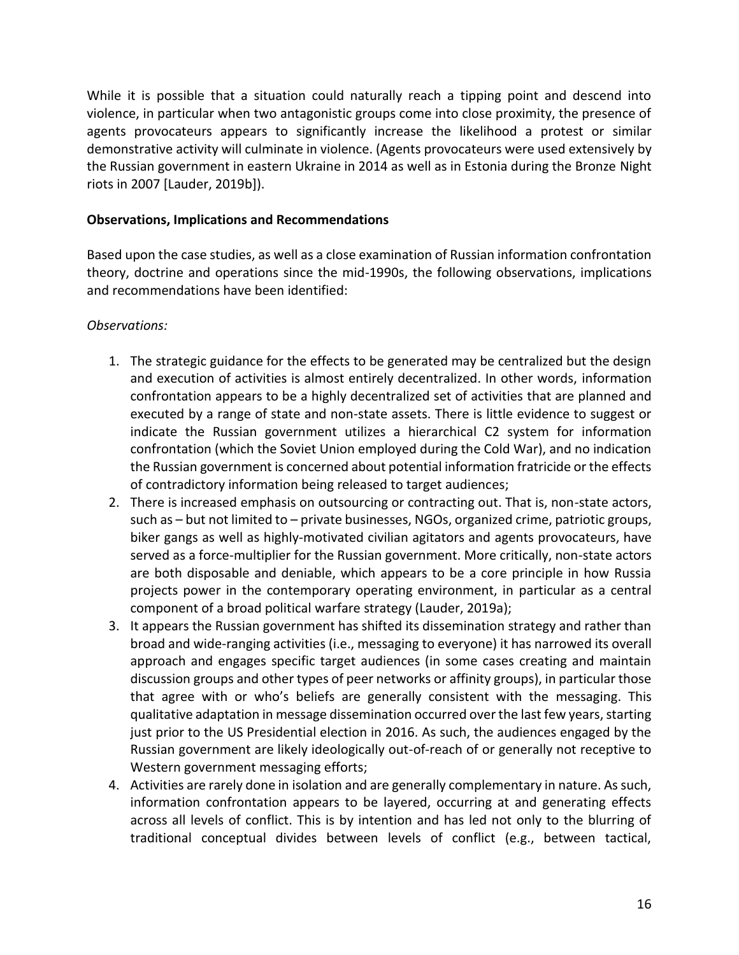While it is possible that a situation could naturally reach a tipping point and descend into violence, in particular when two antagonistic groups come into close proximity, the presence of agents provocateurs appears to significantly increase the likelihood a protest or similar demonstrative activity will culminate in violence. (Agents provocateurs were used extensively by the Russian government in eastern Ukraine in 2014 as well as in Estonia during the Bronze Night riots in 2007 [Lauder, 2019b]).

#### **Observations, Implications and Recommendations**

Based upon the case studies, as well as a close examination of Russian information confrontation theory, doctrine and operations since the mid-1990s, the following observations, implications and recommendations have been identified:

#### *Observations:*

- 1. The strategic guidance for the effects to be generated may be centralized but the design and execution of activities is almost entirely decentralized. In other words, information confrontation appears to be a highly decentralized set of activities that are planned and executed by a range of state and non-state assets. There is little evidence to suggest or indicate the Russian government utilizes a hierarchical C2 system for information confrontation (which the Soviet Union employed during the Cold War), and no indication the Russian government is concerned about potential information fratricide or the effects of contradictory information being released to target audiences;
- 2. There is increased emphasis on outsourcing or contracting out. That is, non-state actors, such as – but not limited to – private businesses, NGOs, organized crime, patriotic groups, biker gangs as well as highly-motivated civilian agitators and agents provocateurs, have served as a force-multiplier for the Russian government. More critically, non-state actors are both disposable and deniable, which appears to be a core principle in how Russia projects power in the contemporary operating environment, in particular as a central component of a broad political warfare strategy (Lauder, 2019a);
- 3. It appears the Russian government has shifted its dissemination strategy and rather than broad and wide-ranging activities (i.e., messaging to everyone) it has narrowed its overall approach and engages specific target audiences (in some cases creating and maintain discussion groups and other types of peer networks or affinity groups), in particular those that agree with or who's beliefs are generally consistent with the messaging. This qualitative adaptation in message dissemination occurred over the last few years, starting just prior to the US Presidential election in 2016. As such, the audiences engaged by the Russian government are likely ideologically out-of-reach of or generally not receptive to Western government messaging efforts;
- 4. Activities are rarely done in isolation and are generally complementary in nature. As such, information confrontation appears to be layered, occurring at and generating effects across all levels of conflict. This is by intention and has led not only to the blurring of traditional conceptual divides between levels of conflict (e.g., between tactical,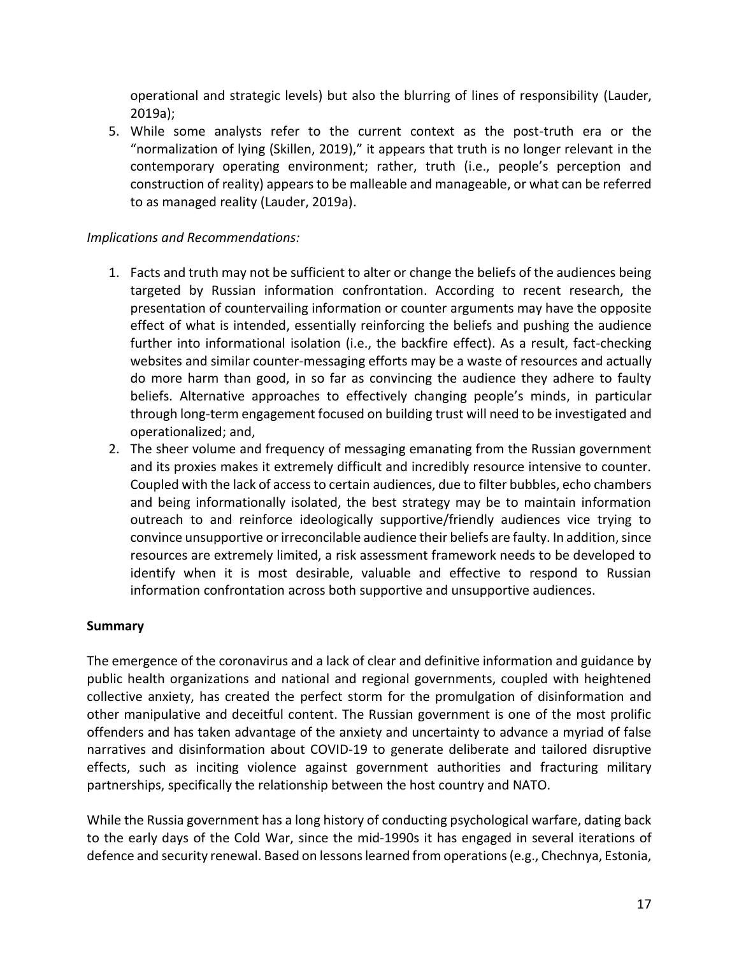operational and strategic levels) but also the blurring of lines of responsibility (Lauder, 2019a);

5. While some analysts refer to the current context as the post-truth era or the "normalization of lying (Skillen, 2019)," it appears that truth is no longer relevant in the contemporary operating environment; rather, truth (i.e., people's perception and construction of reality) appears to be malleable and manageable, or what can be referred to as managed reality (Lauder, 2019a).

# *Implications and Recommendations:*

- 1. Facts and truth may not be sufficient to alter or change the beliefs of the audiences being targeted by Russian information confrontation. According to recent research, the presentation of countervailing information or counter arguments may have the opposite effect of what is intended, essentially reinforcing the beliefs and pushing the audience further into informational isolation (i.e., the backfire effect). As a result, fact-checking websites and similar counter-messaging efforts may be a waste of resources and actually do more harm than good, in so far as convincing the audience they adhere to faulty beliefs. Alternative approaches to effectively changing people's minds, in particular through long-term engagement focused on building trust will need to be investigated and operationalized; and,
- 2. The sheer volume and frequency of messaging emanating from the Russian government and its proxies makes it extremely difficult and incredibly resource intensive to counter. Coupled with the lack of access to certain audiences, due to filter bubbles, echo chambers and being informationally isolated, the best strategy may be to maintain information outreach to and reinforce ideologically supportive/friendly audiences vice trying to convince unsupportive or irreconcilable audience their beliefs are faulty. In addition, since resources are extremely limited, a risk assessment framework needs to be developed to identify when it is most desirable, valuable and effective to respond to Russian information confrontation across both supportive and unsupportive audiences.

# **Summary**

The emergence of the coronavirus and a lack of clear and definitive information and guidance by public health organizations and national and regional governments, coupled with heightened collective anxiety, has created the perfect storm for the promulgation of disinformation and other manipulative and deceitful content. The Russian government is one of the most prolific offenders and has taken advantage of the anxiety and uncertainty to advance a myriad of false narratives and disinformation about COVID-19 to generate deliberate and tailored disruptive effects, such as inciting violence against government authorities and fracturing military partnerships, specifically the relationship between the host country and NATO.

While the Russia government has a long history of conducting psychological warfare, dating back to the early days of the Cold War, since the mid-1990s it has engaged in several iterations of defence and security renewal. Based on lessons learned from operations (e.g., Chechnya, Estonia,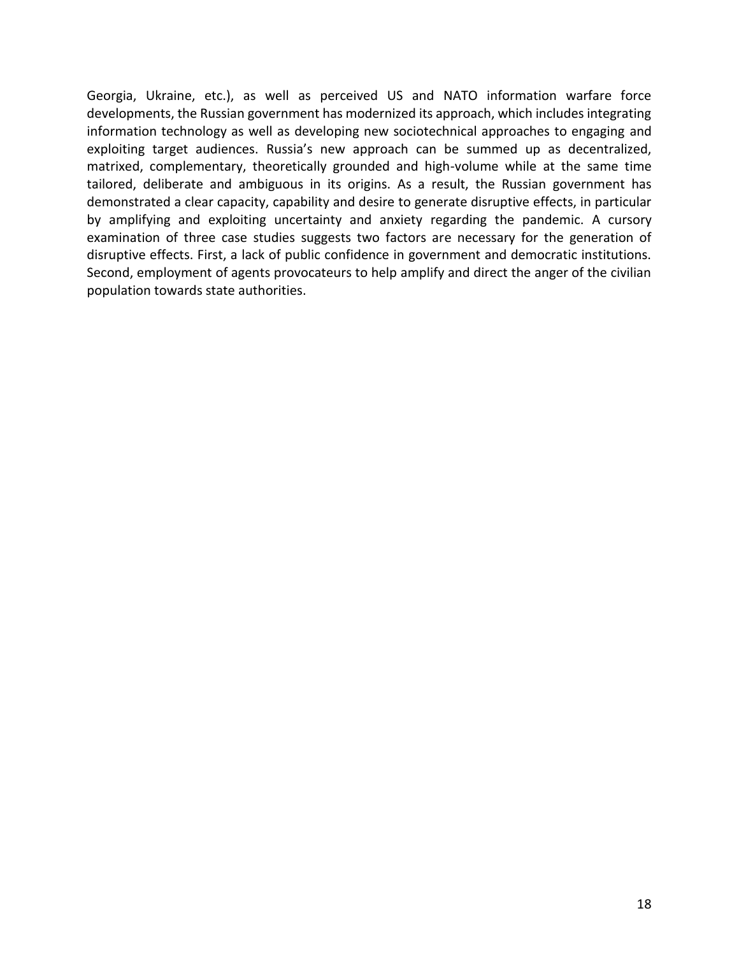Georgia, Ukraine, etc.), as well as perceived US and NATO information warfare force developments, the Russian government has modernized its approach, which includes integrating information technology as well as developing new sociotechnical approaches to engaging and exploiting target audiences. Russia's new approach can be summed up as decentralized, matrixed, complementary, theoretically grounded and high-volume while at the same time tailored, deliberate and ambiguous in its origins. As a result, the Russian government has demonstrated a clear capacity, capability and desire to generate disruptive effects, in particular by amplifying and exploiting uncertainty and anxiety regarding the pandemic. A cursory examination of three case studies suggests two factors are necessary for the generation of disruptive effects. First, a lack of public confidence in government and democratic institutions. Second, employment of agents provocateurs to help amplify and direct the anger of the civilian population towards state authorities.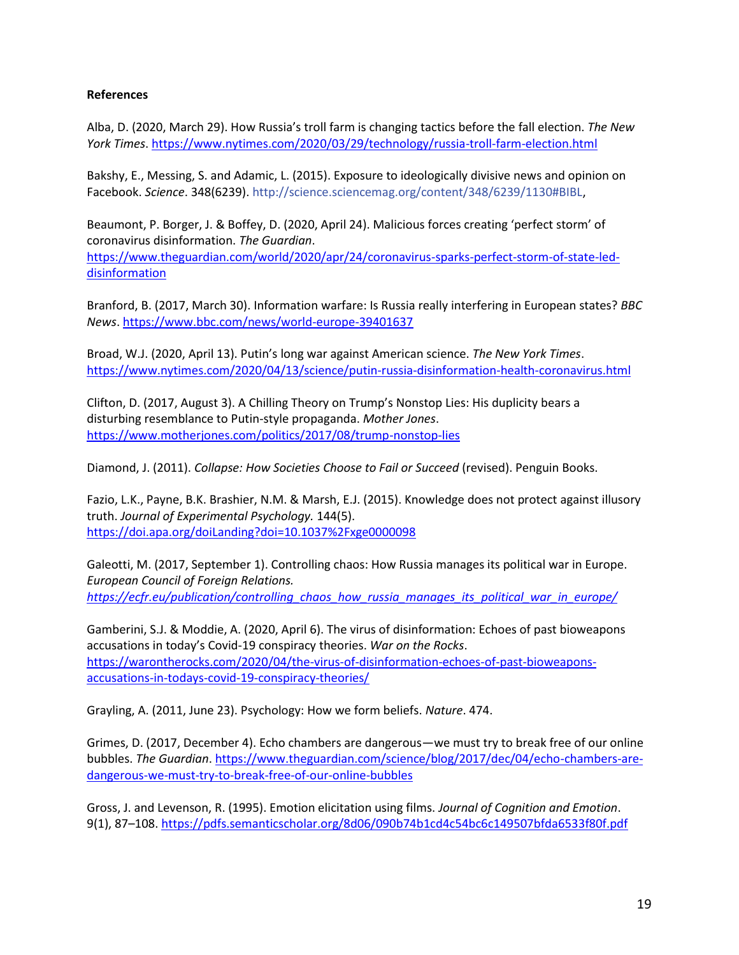#### **References**

Alba, D. (2020, March 29). How Russia's troll farm is changing tactics before the fall election. *The New York Times*[. https://www.nytimes.com/2020/03/29/technology/russia-troll-farm-election.html](https://www.nytimes.com/2020/03/29/technology/russia-troll-farm-election.html)

Bakshy, E., Messing, S. and Adamic, L. (2015). Exposure to ideologically divisive news and opinion on Facebook. *Science*. 348(6239). http://science.sciencemag.org/content/348/6239/1130#BIBL,

Beaumont, P. Borger, J. & Boffey, D. (2020, April 24). Malicious forces creating 'perfect storm' of coronavirus disinformation. *The Guardian*.

[https://www.theguardian.com/world/2020/apr/24/coronavirus-sparks-perfect-storm-of-state-led](https://www.theguardian.com/world/2020/apr/24/coronavirus-sparks-perfect-storm-of-state-led-disinformation)[disinformation](https://www.theguardian.com/world/2020/apr/24/coronavirus-sparks-perfect-storm-of-state-led-disinformation)

Branford, B. (2017, March 30). Information warfare: Is Russia really interfering in European states? *BBC News*.<https://www.bbc.com/news/world-europe-39401637>

Broad, W.J. (2020, April 13). Putin's long war against American science. *The New York Times*. <https://www.nytimes.com/2020/04/13/science/putin-russia-disinformation-health-coronavirus.html>

Clifton, D. (2017, August 3). A Chilling Theory on Trump's Nonstop Lies: His duplicity bears a disturbing resemblance to Putin-style propaganda. *Mother Jones*. <https://www.motherjones.com/politics/2017/08/trump-nonstop-lies>

Diamond, J. (2011). *Collapse: How Societies Choose to Fail or Succeed* (revised). Penguin Books.

Fazio, L.K., Payne, B.K. Brashier, N.M. & Marsh, E.J. (2015). Knowledge does not protect against illusory truth. *Journal of Experimental Psychology.* 144(5). <https://doi.apa.org/doiLanding?doi=10.1037%2Fxge0000098>

Galeotti, M. (2017, September 1). Controlling chaos: How Russia manages its political war in Europe. *European Council of Foreign Relations. [https://ecfr.eu/publication/controlling\\_chaos\\_how\\_russia\\_manages\\_its\\_political\\_war\\_in\\_europe/](https://ecfr.eu/publication/controlling_chaos_how_russia_manages_its_political_war_in_europe/)*

Gamberini, S.J. & Moddie, A. (2020, April 6). The virus of disinformation: Echoes of past bioweapons accusations in today's Covid-19 conspiracy theories. *War on the Rocks*. [https://warontherocks.com/2020/04/the-virus-of-disinformation-echoes-of-past-bioweapons](https://warontherocks.com/2020/04/the-virus-of-disinformation-echoes-of-past-bioweapons-accusations-in-todays-covid-19-conspiracy-theories/)[accusations-in-todays-covid-19-conspiracy-theories/](https://warontherocks.com/2020/04/the-virus-of-disinformation-echoes-of-past-bioweapons-accusations-in-todays-covid-19-conspiracy-theories/)

Grayling, A. (2011, June 23). Psychology: How we form beliefs. *Nature*. 474.

Grimes, D. (2017, December 4). Echo chambers are dangerous—we must try to break free of our online bubbles. *The Guardian*. [https://www.theguardian.com/science/blog/2017/dec/04/echo-chambers-are](https://www.theguardian.com/science/blog/2017/dec/04/echo-chambers-are-dangerous-we-must-try-to-break-free-of-our-online-bubbles)[dangerous-we-must-try-to-break-free-of-our-online-bubbles](https://www.theguardian.com/science/blog/2017/dec/04/echo-chambers-are-dangerous-we-must-try-to-break-free-of-our-online-bubbles)

Gross, J. and Levenson, R. (1995). Emotion elicitation using films. *Journal of Cognition and Emotion*. 9(1), 87–108[. https://pdfs.semanticscholar.org/8d06/090b74b1cd4c54bc6c149507bfda6533f80f.pdf](https://pdfs.semanticscholar.org/8d06/090b74b1cd4c54bc6c149507bfda6533f80f.pdf)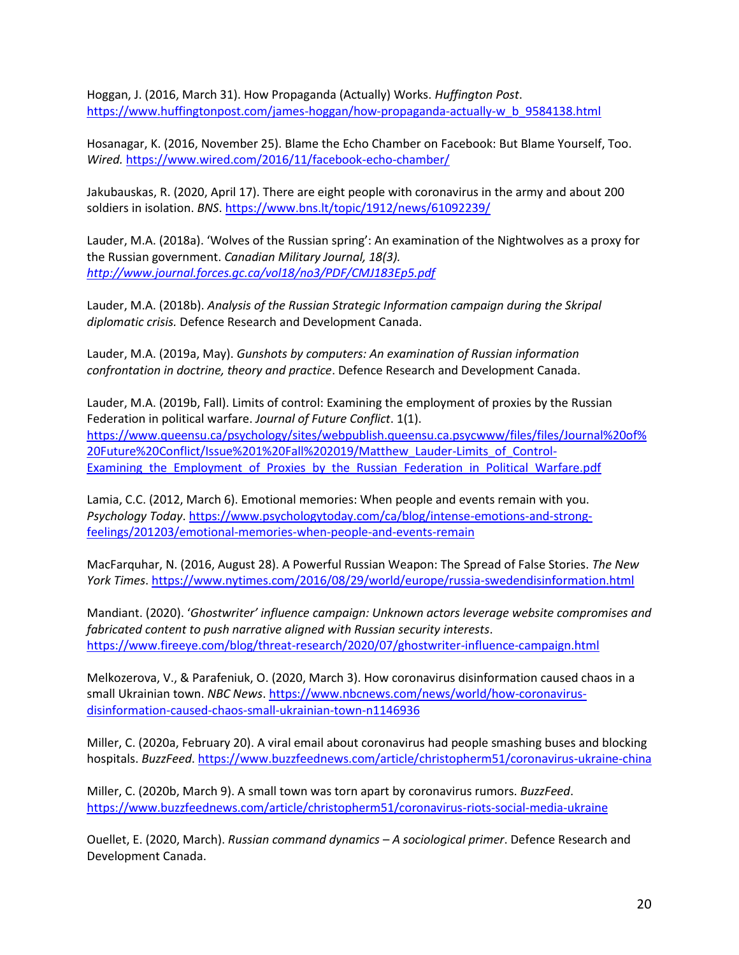Hoggan, J. (2016, March 31). How Propaganda (Actually) Works. *Huffington Post*. [https://www.huffingtonpost.com/james-hoggan/how-propaganda-actually-w\\_b\\_9584138.html](https://www.huffingtonpost.com/james-hoggan/how-propaganda-actually-w_b_9584138.html)

Hosanagar, K. (2016, November 25). Blame the Echo Chamber on Facebook: But Blame Yourself, Too. *Wired.* <https://www.wired.com/2016/11/facebook-echo-chamber/>

Jakubauskas, R. (2020, April 17). There are eight people with coronavirus in the army and about 200 soldiers in isolation. *BNS*[. https://www.bns.lt/topic/1912/news/61092239/](https://www.bns.lt/topic/1912/news/61092239/) 

Lauder, M.A. (2018a). 'Wolves of the Russian spring': An examination of the Nightwolves as a proxy for the Russian government. *Canadian Military Journal, 18(3). <http://www.journal.forces.gc.ca/vol18/no3/PDF/CMJ183Ep5.pdf>*

Lauder, M.A. (2018b). *Analysis of the Russian Strategic Information campaign during the Skripal diplomatic crisis.* Defence Research and Development Canada.

Lauder, M.A. (2019a, May). *Gunshots by computers: An examination of Russian information confrontation in doctrine, theory and practice*. Defence Research and Development Canada.

Lauder, M.A. (2019b, Fall). Limits of control: Examining the employment of proxies by the Russian Federation in political warfare. *Journal of Future Conflict*. 1(1). [https://www.queensu.ca/psychology/sites/webpublish.queensu.ca.psycwww/files/files/Journal%20of%](https://www.queensu.ca/psychology/sites/webpublish.queensu.ca.psycwww/files/files/Journal%20of%20Future%20Conflict/Issue%201%20Fall%202019/Matthew_Lauder-Limits_of_Control-Examining_the_Employment_of_Proxies_by_the_Russian_Federation_in_Political_Warfare.pdf) [20Future%20Conflict/Issue%201%20Fall%202019/Matthew\\_Lauder-Limits\\_of\\_Control-](https://www.queensu.ca/psychology/sites/webpublish.queensu.ca.psycwww/files/files/Journal%20of%20Future%20Conflict/Issue%201%20Fall%202019/Matthew_Lauder-Limits_of_Control-Examining_the_Employment_of_Proxies_by_the_Russian_Federation_in_Political_Warfare.pdf)Examining the Employment of Proxies by the Russian Federation in Political Warfare.pdf

Lamia, C.C. (2012, March 6). Emotional memories: When people and events remain with you. *Psychology Today*[. https://www.psychologytoday.com/ca/blog/intense-emotions-and-strong](https://www.psychologytoday.com/ca/blog/intense-emotions-and-strong-feelings/201203/emotional-memories-when-people-and-events-remain)[feelings/201203/emotional-memories-when-people-and-events-remain](https://www.psychologytoday.com/ca/blog/intense-emotions-and-strong-feelings/201203/emotional-memories-when-people-and-events-remain)

MacFarquhar, N. (2016, August 28). A Powerful Russian Weapon: The Spread of False Stories. *The New York Times*[. https://www.nytimes.com/2016/08/29/world/europe/russia-swedendisinformation.html](https://www.nytimes.com/2016/08/29/world/europe/russia-swedendisinformation.html)

Mandiant. (2020). '*Ghostwriter' influence campaign: Unknown actors leverage website compromises and fabricated content to push narrative aligned with Russian security interests*. <https://www.fireeye.com/blog/threat-research/2020/07/ghostwriter-influence-campaign.html>

Melkozerova, V., & Parafeniuk, O. (2020, March 3). How coronavirus disinformation caused chaos in a small Ukrainian town. *NBC News*. [https://www.nbcnews.com/news/world/how-coronavirus](https://www.nbcnews.com/news/world/how-coronavirus-disinformation-caused-chaos-small-ukrainian-town-n1146936)[disinformation-caused-chaos-small-ukrainian-town-n1146936](https://www.nbcnews.com/news/world/how-coronavirus-disinformation-caused-chaos-small-ukrainian-town-n1146936)

Miller, C. (2020a, February 20). A viral email about coronavirus had people smashing buses and blocking hospitals. *BuzzFeed*.<https://www.buzzfeednews.com/article/christopherm51/coronavirus-ukraine-china>

Miller, C. (2020b, March 9). A small town was torn apart by coronavirus rumors. *BuzzFeed*. <https://www.buzzfeednews.com/article/christopherm51/coronavirus-riots-social-media-ukraine>

Ouellet, E. (2020, March). *Russian command dynamics – A sociological primer*. Defence Research and Development Canada.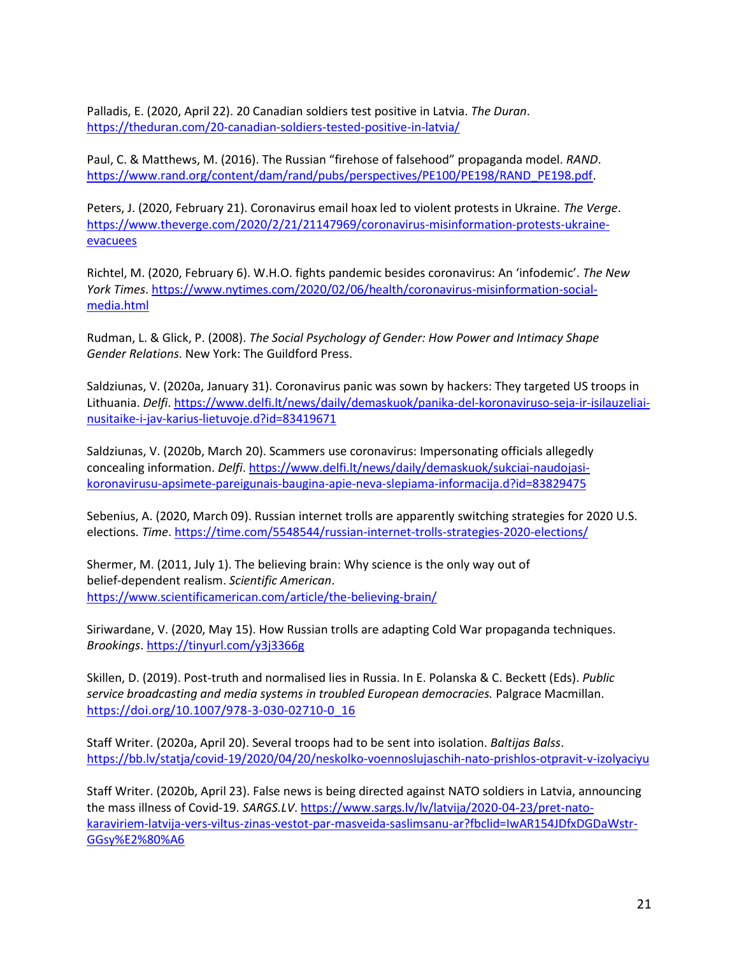Palladis, E. (2020, April 22). 20 Canadian soldiers test positive in Latvia. *The Duran*. <https://theduran.com/20-canadian-soldiers-tested-positive-in-latvia/>

Paul, C. & Matthews, M. (2016). The Russian "firehose of falsehood" propaganda model. *RAND*. [https://www.rand.org/content/dam/rand/pubs/perspectives/PE100/PE198/RAND\\_PE198.pdf.](https://www.rand.org/content/dam/rand/pubs/perspectives/PE100/PE198/RAND_PE198.pdf)

Peters, J. (2020, February 21). Coronavirus email hoax led to violent protests in Ukraine. *The Verge*. [https://www.theverge.com/2020/2/21/21147969/coronavirus-misinformation-protests-ukraine](https://www.theverge.com/2020/2/21/21147969/coronavirus-misinformation-protests-ukraine-evacuees)[evacuees](https://www.theverge.com/2020/2/21/21147969/coronavirus-misinformation-protests-ukraine-evacuees)

Richtel, M. (2020, February 6). W.H.O. fights pandemic besides coronavirus: An 'infodemic'. *The New York Times*[. https://www.nytimes.com/2020/02/06/health/coronavirus-misinformation-social](https://www.nytimes.com/2020/02/06/health/coronavirus-misinformation-social-media.html)[media.html](https://www.nytimes.com/2020/02/06/health/coronavirus-misinformation-social-media.html) 

Rudman, L. & Glick, P. (2008). *The Social Psychology of Gender: How Power and Intimacy Shape Gender Relations*. New York: The Guildford Press.

Saldziunas, V. (2020a, January 31). Coronavirus panic was sown by hackers: They targeted US troops in Lithuania. *Delfi*. [https://www.delfi.lt/news/daily/demaskuok/panika-del-koronaviruso-seja-ir-isilauzeliai](https://www.delfi.lt/news/daily/demaskuok/panika-del-koronaviruso-seja-ir-isilauzeliai-nusitaike-i-jav-karius-lietuvoje.d?id=83419671)[nusitaike-i-jav-karius-lietuvoje.d?id=83419671](https://www.delfi.lt/news/daily/demaskuok/panika-del-koronaviruso-seja-ir-isilauzeliai-nusitaike-i-jav-karius-lietuvoje.d?id=83419671)

Saldziunas, V. (2020b, March 20). Scammers use coronavirus: Impersonating officials allegedly concealing information. *Delfi*. [https://www.delfi.lt/news/daily/demaskuok/sukciai-naudojasi](https://www.delfi.lt/news/daily/demaskuok/sukciai-naudojasi-koronavirusu-apsimete-pareigunais-baugina-apie-neva-slepiama-informacija.d?id=83829475)[koronavirusu-apsimete-pareigunais-baugina-apie-neva-slepiama-informacija.d?id=83829475](https://www.delfi.lt/news/daily/demaskuok/sukciai-naudojasi-koronavirusu-apsimete-pareigunais-baugina-apie-neva-slepiama-informacija.d?id=83829475)

Sebenius, A. (2020, March 09). Russian internet trolls are apparently switching strategies for 2020 U.S. elections. *Time*[. https://time.com/5548544/russian-internet-trolls-strategies-2020-elections/](https://time.com/5548544/russian-internet-trolls-strategies-2020-elections/)

Shermer, M. (2011, July 1). The believing brain: Why science is the only way out of belief-dependent realism. *Scientific American*. <https://www.scientificamerican.com/article/the-believing-brain/>

Siriwardane, V. (2020, May 15). How Russian trolls are adapting Cold War propaganda techniques. *Brookings*[. https://tinyurl.com/y3j3366g](https://tinyurl.com/y3j3366g)

Skillen, D. (2019). Post-truth and normalised lies in Russia. In E. Polanska & C. Beckett (Eds). *Public service broadcasting and media systems in troubled European democracies.* Palgrace Macmillan. [https://doi.org/10.1007/978-3-030-02710-0\\_16](https://doi.org/10.1007/978-3-030-02710-0_16)

Staff Writer. (2020a, April 20). Several troops had to be sent into isolation. *Baltijas Balss*. <https://bb.lv/statja/covid-19/2020/04/20/neskolko-voennoslujaschih-nato-prishlos-otpravit-v-izolyaciyu>

Staff Writer. (2020b, April 23). False news is being directed against NATO soldiers in Latvia, announcing the mass illness of Covid-19. *SARGS.LV*. [https://www.sargs.lv/lv/latvija/2020-04-23/pret-nato](https://www.sargs.lv/lv/latvija/2020-04-23/pret-nato-karaviriem-latvija-vers-viltus-zinas-vestot-par-masveida-saslimsanu-ar?fbclid=IwAR154JDfxDGDaWstr-GGsy%E2%80%A6)[karaviriem-latvija-vers-viltus-zinas-vestot-par-masveida-saslimsanu-ar?fbclid=IwAR154JDfxDGDaWstr-](https://www.sargs.lv/lv/latvija/2020-04-23/pret-nato-karaviriem-latvija-vers-viltus-zinas-vestot-par-masveida-saslimsanu-ar?fbclid=IwAR154JDfxDGDaWstr-GGsy%E2%80%A6)[GGsy%E2%80%A6](https://www.sargs.lv/lv/latvija/2020-04-23/pret-nato-karaviriem-latvija-vers-viltus-zinas-vestot-par-masveida-saslimsanu-ar?fbclid=IwAR154JDfxDGDaWstr-GGsy%E2%80%A6)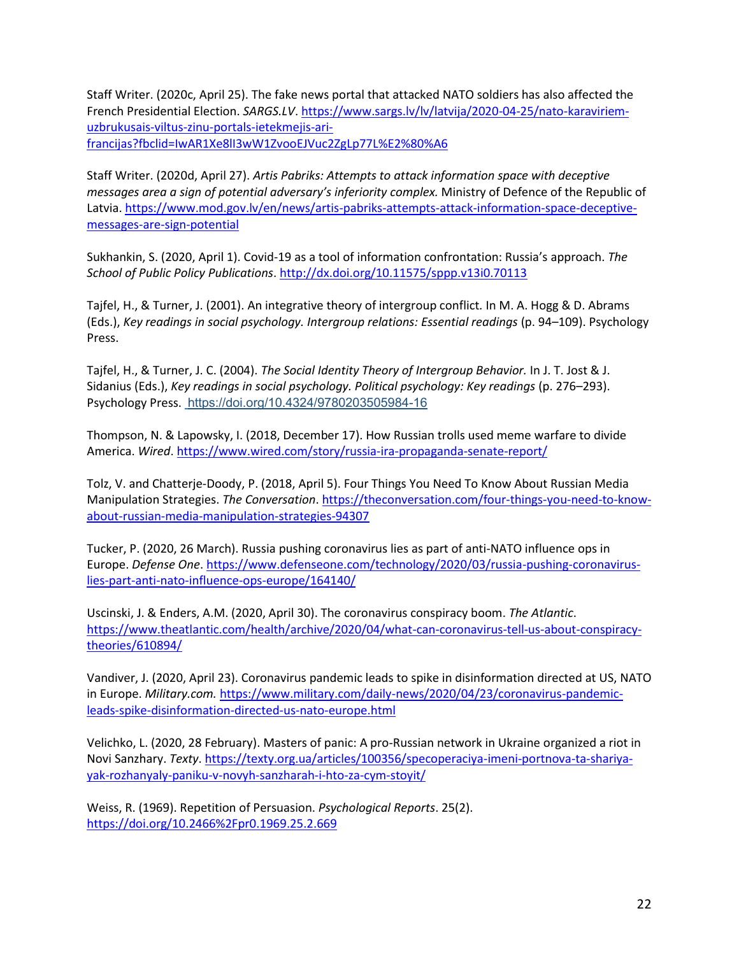Staff Writer. (2020c, April 25). The fake news portal that attacked NATO soldiers has also affected the French Presidential Election. *SARGS.LV*[. https://www.sargs.lv/lv/latvija/2020-04-25/nato-karaviriem](https://www.sargs.lv/lv/latvija/2020-04-25/nato-karaviriem-uzbrukusais-viltus-zinu-portals-ietekmejis-ari-francijas?fbclid=IwAR1Xe8lI3wW1ZvooEJVuc2ZgLp77L%E2%80%A6)[uzbrukusais-viltus-zinu-portals-ietekmejis-ari](https://www.sargs.lv/lv/latvija/2020-04-25/nato-karaviriem-uzbrukusais-viltus-zinu-portals-ietekmejis-ari-francijas?fbclid=IwAR1Xe8lI3wW1ZvooEJVuc2ZgLp77L%E2%80%A6)[francijas?fbclid=IwAR1Xe8lI3wW1ZvooEJVuc2ZgLp77L%E2%80%A6](https://www.sargs.lv/lv/latvija/2020-04-25/nato-karaviriem-uzbrukusais-viltus-zinu-portals-ietekmejis-ari-francijas?fbclid=IwAR1Xe8lI3wW1ZvooEJVuc2ZgLp77L%E2%80%A6)

Staff Writer. (2020d, April 27). *Artis Pabriks: Attempts to attack information space with deceptive messages area a sign of potential adversary's inferiority complex.* Ministry of Defence of the Republic of Latvia[. https://www.mod.gov.lv/en/news/artis-pabriks-attempts-attack-information-space-deceptive](https://www.mod.gov.lv/en/news/artis-pabriks-attempts-attack-information-space-deceptive-messages-are-sign-potential)[messages-are-sign-potential](https://www.mod.gov.lv/en/news/artis-pabriks-attempts-attack-information-space-deceptive-messages-are-sign-potential)

Sukhankin, S. (2020, April 1). Covid-19 as a tool of information confrontation: Russia's approach. *The School of Public Policy Publications*.<http://dx.doi.org/10.11575/sppp.v13i0.70113>

Tajfel, H., & Turner, J. (2001). An integrative theory of intergroup conflict*.* In M. A. Hogg & D. Abrams (Eds.), *Key readings in social psychology. Intergroup relations: Essential readings* (p. 94–109). Psychology Press.

Tajfel, H., & Turner, J. C. (2004). *The Social Identity Theory of Intergroup Behavior.* In J. T. Jost & J. Sidanius (Eds.), *Key readings in social psychology. Political psychology: Key readings* (p. 276–293). Psychology Press. [https://doi.org/10.4324/9780203505984-16](https://psycnet.apa.org/doi/10.4324/9780203505984-16)

Thompson, N. & Lapowsky, I. (2018, December 17). How Russian trolls used meme warfare to divide America. *Wired*[. https://www.wired.com/story/russia-ira-propaganda-senate-report/](https://www.wired.com/story/russia-ira-propaganda-senate-report/)

Tolz, V. and Chatterje-Doody, P. (2018, April 5). Four Things You Need To Know About Russian Media Manipulation Strategies. *The Conversation*. [https://theconversation.com/four-things-you-need-to-know](https://theconversation.com/four-things-you-need-to-know-about-russian-media-manipulation-strategies-94307)[about-russian-media-manipulation-strategies-94307](https://theconversation.com/four-things-you-need-to-know-about-russian-media-manipulation-strategies-94307)

Tucker, P. (2020, 26 March). Russia pushing coronavirus lies as part of anti-NATO influence ops in Europe. *Defense One*. [https://www.defenseone.com/technology/2020/03/russia-pushing-coronavirus](https://www.defenseone.com/technology/2020/03/russia-pushing-coronavirus-lies-part-anti-nato-influence-ops-europe/164140/)[lies-part-anti-nato-influence-ops-europe/164140/](https://www.defenseone.com/technology/2020/03/russia-pushing-coronavirus-lies-part-anti-nato-influence-ops-europe/164140/)

Uscinski, J. & Enders, A.M. (2020, April 30). The coronavirus conspiracy boom. *The Atlantic*. [https://www.theatlantic.com/health/archive/2020/04/what-can-coronavirus-tell-us-about-conspiracy](https://www.theatlantic.com/health/archive/2020/04/what-can-coronavirus-tell-us-about-conspiracy-theories/610894/)[theories/610894/](https://www.theatlantic.com/health/archive/2020/04/what-can-coronavirus-tell-us-about-conspiracy-theories/610894/)

Vandiver, J. (2020, April 23). Coronavirus pandemic leads to spike in disinformation directed at US, NATO in Europe. *Military.com.* [https://www.military.com/daily-news/2020/04/23/coronavirus-pandemic](https://www.military.com/daily-news/2020/04/23/coronavirus-pandemic-leads-spike-disinformation-directed-us-nato-europe.html)[leads-spike-disinformation-directed-us-nato-europe.html](https://www.military.com/daily-news/2020/04/23/coronavirus-pandemic-leads-spike-disinformation-directed-us-nato-europe.html)

Velichko, L. (2020, 28 February). Masters of panic: A pro-Russian network in Ukraine organized a riot in Novi Sanzhary. *Texty*[. https://texty.org.ua/articles/100356/specoperaciya-imeni-portnova-ta-shariya](https://texty.org.ua/articles/100356/specoperaciya-imeni-portnova-ta-shariya-yak-rozhanyaly-paniku-v-novyh-sanzharah-i-hto-za-cym-stoyit/)[yak-rozhanyaly-paniku-v-novyh-sanzharah-i-hto-za-cym-stoyit/](https://texty.org.ua/articles/100356/specoperaciya-imeni-portnova-ta-shariya-yak-rozhanyaly-paniku-v-novyh-sanzharah-i-hto-za-cym-stoyit/)

Weiss, R. (1969). Repetition of Persuasion. *Psychological Reports*. 25(2). <https://doi.org/10.2466%2Fpr0.1969.25.2.669>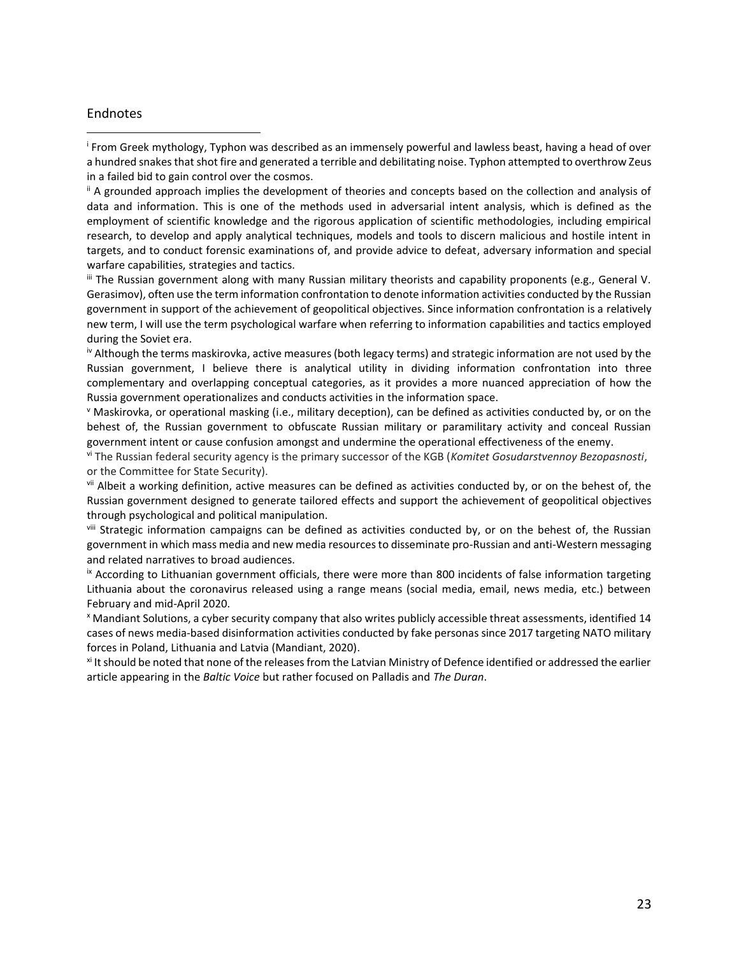#### Endnotes

 $\overline{a}$ 

i From Greek mythology, Typhon was described as an immensely powerful and lawless beast, having a head of over a hundred snakes that shot fire and generated a terrible and debilitating noise. Typhon attempted to overthrow Zeus in a failed bid to gain control over the cosmos.

ii A grounded approach implies the development of theories and concepts based on the collection and analysis of data and information. This is one of the methods used in adversarial intent analysis, which is defined as the employment of scientific knowledge and the rigorous application of scientific methodologies, including empirical research, to develop and apply analytical techniques, models and tools to discern malicious and hostile intent in targets, and to conduct forensic examinations of, and provide advice to defeat, adversary information and special warfare capabilities, strategies and tactics.

iii The Russian government along with many Russian military theorists and capability proponents (e.g., General V. Gerasimov), often use the term information confrontation to denote information activities conducted by the Russian government in support of the achievement of geopolitical objectives. Since information confrontation is a relatively new term, I will use the term psychological warfare when referring to information capabilities and tactics employed during the Soviet era.

iv Although the terms maskirovka, active measures (both legacy terms) and strategic information are not used by the Russian government, I believe there is analytical utility in dividing information confrontation into three complementary and overlapping conceptual categories, as it provides a more nuanced appreciation of how the Russia government operationalizes and conducts activities in the information space.

<sup>v</sup> Maskirovka, or operational masking (i.e., military deception), can be defined as activities conducted by, or on the behest of, the Russian government to obfuscate Russian military or paramilitary activity and conceal Russian government intent or cause confusion amongst and undermine the operational effectiveness of the enemy.

vi The Russian federal security agency is the primary successor of the KGB (*Komitet Gosudarstvennoy Bezopasnosti*, or the Committee for State Security).

vii Albeit a working definition, active measures can be defined as activities conducted by, or on the behest of, the Russian government designed to generate tailored effects and support the achievement of geopolitical objectives through psychological and political manipulation.

viii Strategic information campaigns can be defined as activities conducted by, or on the behest of, the Russian government in which mass media and new media resources to disseminate pro-Russian and anti-Western messaging and related narratives to broad audiences.

<sup>ix</sup> According to Lithuanian government officials, there were more than 800 incidents of false information targeting Lithuania about the coronavirus released using a range means (social media, email, news media, etc.) between February and mid-April 2020.

<sup>x</sup> Mandiant Solutions, a cyber security company that also writes publicly accessible threat assessments, identified 14 cases of news media-based disinformation activities conducted by fake personas since 2017 targeting NATO military forces in Poland, Lithuania and Latvia (Mandiant, 2020).

xi It should be noted that none of the releases from the Latvian Ministry of Defence identified or addressed the earlier article appearing in the *Baltic Voice* but rather focused on Palladis and *The Duran*.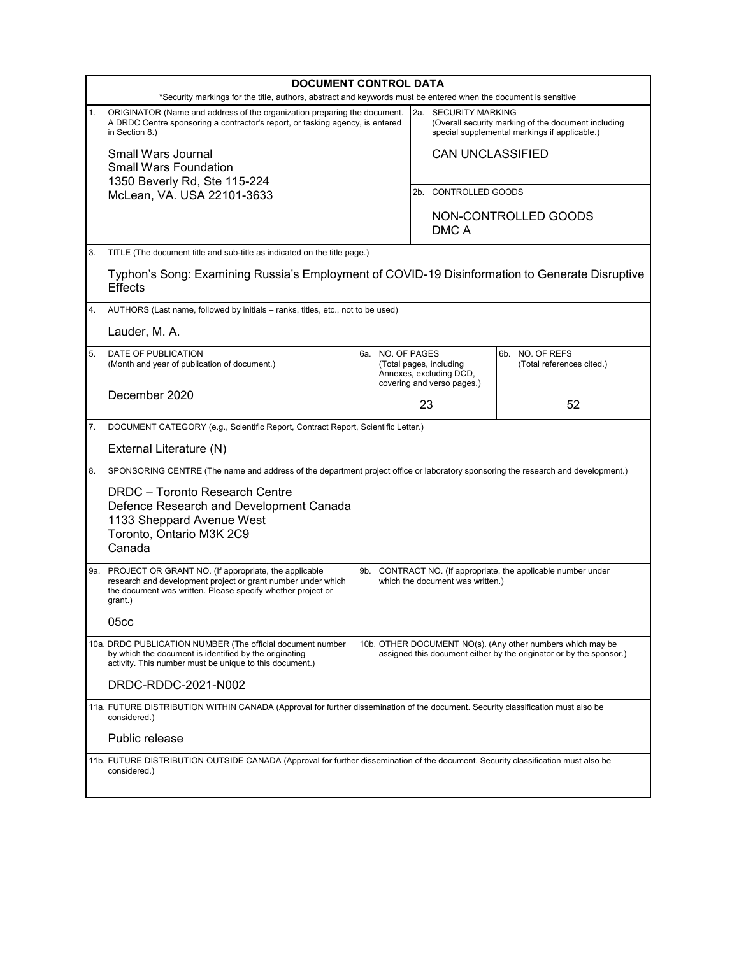| <b>DOCUMENT CONTROL DATA</b>                                                                                    |                                                                                                                                                                                                                        |                                                                                                                                   |                                                                                                                                        |                               |                                              |
|-----------------------------------------------------------------------------------------------------------------|------------------------------------------------------------------------------------------------------------------------------------------------------------------------------------------------------------------------|-----------------------------------------------------------------------------------------------------------------------------------|----------------------------------------------------------------------------------------------------------------------------------------|-------------------------------|----------------------------------------------|
| *Security markings for the title, authors, abstract and keywords must be entered when the document is sensitive |                                                                                                                                                                                                                        |                                                                                                                                   |                                                                                                                                        |                               |                                              |
| 1.                                                                                                              | ORIGINATOR (Name and address of the organization preparing the document.<br>A DRDC Centre sponsoring a contractor's report, or tasking agency, is entered<br>in Section 8.)                                            |                                                                                                                                   | <b>SECURITY MARKING</b><br>2a.<br>(Overall security marking of the document including<br>special supplemental markings if applicable.) |                               |                                              |
|                                                                                                                 | Small Wars Journal<br><b>Small Wars Foundation</b><br>1350 Beverly Rd, Ste 115-224<br>McLean, VA. USA 22101-3633                                                                                                       |                                                                                                                                   | <b>CAN UNCLASSIFIED</b>                                                                                                                |                               |                                              |
|                                                                                                                 |                                                                                                                                                                                                                        |                                                                                                                                   | 2b. CONTROLLED GOODS                                                                                                                   |                               |                                              |
|                                                                                                                 |                                                                                                                                                                                                                        |                                                                                                                                   |                                                                                                                                        |                               |                                              |
|                                                                                                                 |                                                                                                                                                                                                                        |                                                                                                                                   |                                                                                                                                        | NON-CONTROLLED GOODS<br>DMC A |                                              |
| 3.                                                                                                              | TITLE (The document title and sub-title as indicated on the title page.)                                                                                                                                               |                                                                                                                                   |                                                                                                                                        |                               |                                              |
|                                                                                                                 | Typhon's Song: Examining Russia's Employment of COVID-19 Disinformation to Generate Disruptive<br>Effects                                                                                                              |                                                                                                                                   |                                                                                                                                        |                               |                                              |
| 4.                                                                                                              | AUTHORS (Last name, followed by initials – ranks, titles, etc., not to be used)                                                                                                                                        |                                                                                                                                   |                                                                                                                                        |                               |                                              |
|                                                                                                                 | Lauder, M. A.                                                                                                                                                                                                          |                                                                                                                                   |                                                                                                                                        |                               |                                              |
| 5.                                                                                                              | DATE OF PUBLICATION<br>(Month and year of publication of document.)                                                                                                                                                    |                                                                                                                                   | 6a. NO. OF PAGES<br>(Total pages, including<br>Annexes, excluding DCD,<br>covering and verso pages.)<br>23                             |                               | 6b. NO. OF REFS<br>(Total references cited.) |
|                                                                                                                 | December 2020                                                                                                                                                                                                          |                                                                                                                                   |                                                                                                                                        |                               | 52                                           |
| 7.                                                                                                              | DOCUMENT CATEGORY (e.g., Scientific Report, Contract Report, Scientific Letter.)                                                                                                                                       |                                                                                                                                   |                                                                                                                                        |                               |                                              |
|                                                                                                                 | External Literature (N)                                                                                                                                                                                                |                                                                                                                                   |                                                                                                                                        |                               |                                              |
| 8.                                                                                                              | SPONSORING CENTRE (The name and address of the department project office or laboratory sponsoring the research and development.)                                                                                       |                                                                                                                                   |                                                                                                                                        |                               |                                              |
|                                                                                                                 | DRDC - Toronto Research Centre<br>Defence Research and Development Canada<br>1133 Sheppard Avenue West<br>Toronto, Ontario M3K 2C9<br>Canada                                                                           |                                                                                                                                   |                                                                                                                                        |                               |                                              |
|                                                                                                                 | 9a. PROJECT OR GRANT NO. (If appropriate, the applicable<br>research and development project or grant number under which<br>the document was written. Please specify whether project or<br>grant.)<br>05 <sub>cc</sub> | 9b. CONTRACT NO. (If appropriate, the applicable number under<br>which the document was written.)                                 |                                                                                                                                        |                               |                                              |
|                                                                                                                 |                                                                                                                                                                                                                        |                                                                                                                                   |                                                                                                                                        |                               |                                              |
|                                                                                                                 | 10a. DRDC PUBLICATION NUMBER (The official document number<br>by which the document is identified by the originating<br>activity. This number must be unique to this document.)                                        | 10b. OTHER DOCUMENT NO(s). (Any other numbers which may be<br>assigned this document either by the originator or by the sponsor.) |                                                                                                                                        |                               |                                              |
|                                                                                                                 | DRDC-RDDC-2021-N002                                                                                                                                                                                                    |                                                                                                                                   |                                                                                                                                        |                               |                                              |
|                                                                                                                 | 11a. FUTURE DISTRIBUTION WITHIN CANADA (Approval for further dissemination of the document. Security classification must also be<br>considered.)                                                                       |                                                                                                                                   |                                                                                                                                        |                               |                                              |
|                                                                                                                 | Public release                                                                                                                                                                                                         |                                                                                                                                   |                                                                                                                                        |                               |                                              |
|                                                                                                                 | 11b. FUTURE DISTRIBUTION OUTSIDE CANADA (Approval for further dissemination of the document. Security classification must also be<br>considered.)                                                                      |                                                                                                                                   |                                                                                                                                        |                               |                                              |
|                                                                                                                 |                                                                                                                                                                                                                        |                                                                                                                                   |                                                                                                                                        |                               |                                              |